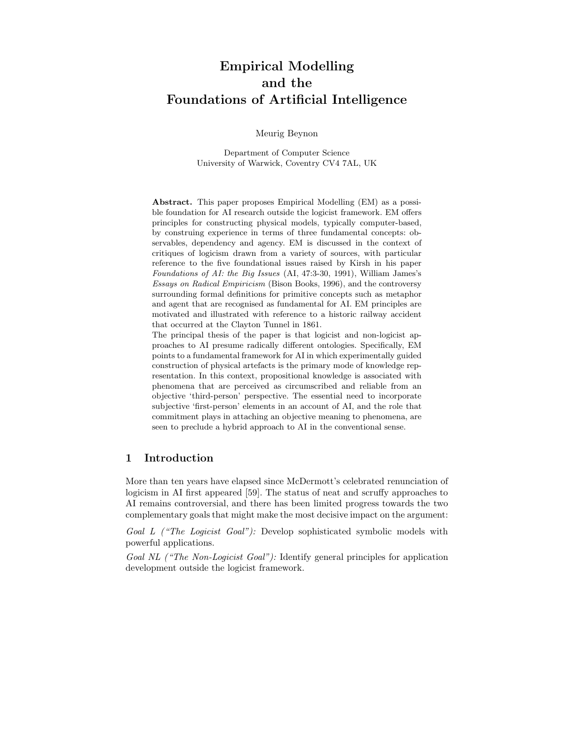# Empirical Modelling and the Foundations of Artificial Intelligence

#### Meurig Beynon

Department of Computer Science University of Warwick, Coventry CV4 7AL, UK

Abstract. This paper proposes Empirical Modelling (EM) as a possible foundation for AI research outside the logicist framework. EM offers principles for constructing physical models, typically computer-based, by construing experience in terms of three fundamental concepts: observables, dependency and agency. EM is discussed in the context of critiques of logicism drawn from a variety of sources, with particular reference to the five foundational issues raised by Kirsh in his paper Foundations of AI: the Big Issues (AI, 47:3-30, 1991), William James's Essays on Radical Empiricism (Bison Books, 1996), and the controversy surrounding formal definitions for primitive concepts such as metaphor and agent that are recognised as fundamental for AI. EM principles are motivated and illustrated with reference to a historic railway accident that occurred at the Clayton Tunnel in 1861.

The principal thesis of the paper is that logicist and non-logicist approaches to AI presume radically different ontologies. Specifically, EM points to a fundamental framework for AI in which experimentally guided construction of physical artefacts is the primary mode of knowledge representation. In this context, propositional knowledge is associated with phenomena that are perceived as circumscribed and reliable from an objective 'third-person' perspective. The essential need to incorporate subjective 'first-person' elements in an account of AI, and the role that commitment plays in attaching an objective meaning to phenomena, are seen to preclude a hybrid approach to AI in the conventional sense.

## 1 Introduction

More than ten years have elapsed since McDermott's celebrated renunciation of logicism in AI first appeared [59]. The status of neat and scruffy approaches to AI remains controversial, and there has been limited progress towards the two complementary goals that might make the most decisive impact on the argument:

Goal L ("The Logicist Goal"): Develop sophisticated symbolic models with powerful applications.

Goal NL ("The Non-Logicist Goal"): Identify general principles for application development outside the logicist framework.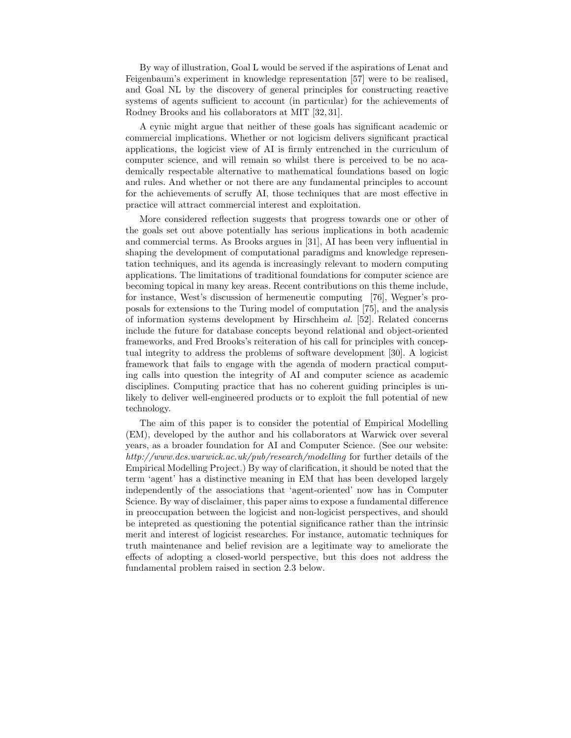By way of illustration, Goal L would be served if the aspirations of Lenat and Feigenbaum's experiment in knowledge representation [57] were to be realised, and Goal NL by the discovery of general principles for constructing reactive systems of agents sufficient to account (in particular) for the achievements of Rodney Brooks and his collaborators at MIT [32, 31].

A cynic might argue that neither of these goals has significant academic or commercial implications. Whether or not logicism delivers significant practical applications, the logicist view of AI is firmly entrenched in the curriculum of computer science, and will remain so whilst there is perceived to be no academically respectable alternative to mathematical foundations based on logic and rules. And whether or not there are any fundamental principles to account for the achievements of scruffy AI, those techniques that are most effective in practice will attract commercial interest and exploitation.

More considered reflection suggests that progress towards one or other of the goals set out above potentially has serious implications in both academic and commercial terms. As Brooks argues in [31], AI has been very influential in shaping the development of computational paradigms and knowledge representation techniques, and its agenda is increasingly relevant to modern computing applications. The limitations of traditional foundations for computer science are becoming topical in many key areas. Recent contributions on this theme include, for instance, West's discussion of hermeneutic computing [76], Wegner's proposals for extensions to the Turing model of computation [75], and the analysis of information systems development by Hirschheim al. [52]. Related concerns include the future for database concepts beyond relational and object-oriented frameworks, and Fred Brooks's reiteration of his call for principles with conceptual integrity to address the problems of software development [30]. A logicist framework that fails to engage with the agenda of modern practical computing calls into question the integrity of AI and computer science as academic disciplines. Computing practice that has no coherent guiding principles is unlikely to deliver well-engineered products or to exploit the full potential of new technology.

The aim of this paper is to consider the potential of Empirical Modelling (EM), developed by the author and his collaborators at Warwick over several years, as a broader foundation for AI and Computer Science. (See our website: http://www.dcs.warwick.ac.uk/pub/research/modelling for further details of the Empirical Modelling Project.) By way of clarification, it should be noted that the term 'agent' has a distinctive meaning in EM that has been developed largely independently of the associations that 'agent-oriented' now has in Computer Science. By way of disclaimer, this paper aims to expose a fundamental difference in preoccupation between the logicist and non-logicist perspectives, and should be intepreted as questioning the potential significance rather than the intrinsic merit and interest of logicist researches. For instance, automatic techniques for truth maintenance and belief revision are a legitimate way to ameliorate the effects of adopting a closed-world perspective, but this does not address the fundamental problem raised in section 2.3 below.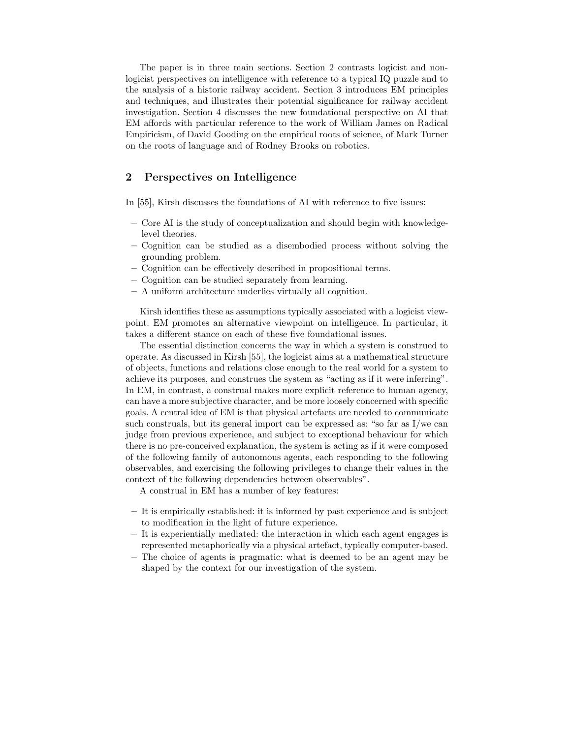The paper is in three main sections. Section 2 contrasts logicist and nonlogicist perspectives on intelligence with reference to a typical IQ puzzle and to the analysis of a historic railway accident. Section 3 introduces EM principles and techniques, and illustrates their potential significance for railway accident investigation. Section 4 discusses the new foundational perspective on AI that EM affords with particular reference to the work of William James on Radical Empiricism, of David Gooding on the empirical roots of science, of Mark Turner on the roots of language and of Rodney Brooks on robotics.

## 2 Perspectives on Intelligence

In [55], Kirsh discusses the foundations of AI with reference to five issues:

- Core AI is the study of conceptualization and should begin with knowledgelevel theories.
- Cognition can be studied as a disembodied process without solving the grounding problem.
- Cognition can be effectively described in propositional terms.
- Cognition can be studied separately from learning.
- A uniform architecture underlies virtually all cognition.

Kirsh identifies these as assumptions typically associated with a logicist viewpoint. EM promotes an alternative viewpoint on intelligence. In particular, it takes a different stance on each of these five foundational issues.

The essential distinction concerns the way in which a system is construed to operate. As discussed in Kirsh [55], the logicist aims at a mathematical structure of objects, functions and relations close enough to the real world for a system to achieve its purposes, and construes the system as "acting as if it were inferring". In EM, in contrast, a construal makes more explicit reference to human agency, can have a more subjective character, and be more loosely concerned with specific goals. A central idea of EM is that physical artefacts are needed to communicate such construals, but its general import can be expressed as: "so far as I/we can judge from previous experience, and subject to exceptional behaviour for which there is no pre-conceived explanation, the system is acting as if it were composed of the following family of autonomous agents, each responding to the following observables, and exercising the following privileges to change their values in the context of the following dependencies between observables".

A construal in EM has a number of key features:

- It is empirically established: it is informed by past experience and is subject to modification in the light of future experience.
- It is experientially mediated: the interaction in which each agent engages is represented metaphorically via a physical artefact, typically computer-based.
- The choice of agents is pragmatic: what is deemed to be an agent may be shaped by the context for our investigation of the system.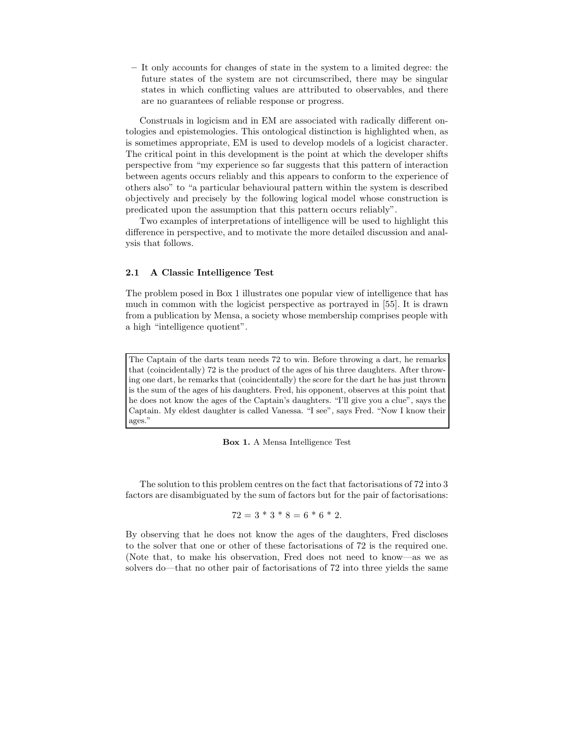– It only accounts for changes of state in the system to a limited degree: the future states of the system are not circumscribed, there may be singular states in which conflicting values are attributed to observables, and there are no guarantees of reliable response or progress.

Construals in logicism and in EM are associated with radically different ontologies and epistemologies. This ontological distinction is highlighted when, as is sometimes appropriate, EM is used to develop models of a logicist character. The critical point in this development is the point at which the developer shifts perspective from "my experience so far suggests that this pattern of interaction between agents occurs reliably and this appears to conform to the experience of others also" to "a particular behavioural pattern within the system is described objectively and precisely by the following logical model whose construction is predicated upon the assumption that this pattern occurs reliably".

Two examples of interpretations of intelligence will be used to highlight this difference in perspective, and to motivate the more detailed discussion and analysis that follows.

#### 2.1 A Classic Intelligence Test

The problem posed in Box 1 illustrates one popular view of intelligence that has much in common with the logicist perspective as portrayed in [55]. It is drawn from a publication by Mensa, a society whose membership comprises people with a high "intelligence quotient".

The Captain of the darts team needs 72 to win. Before throwing a dart, he remarks that (coincidentally) 72 is the product of the ages of his three daughters. After throwing one dart, he remarks that (coincidentally) the score for the dart he has just thrown is the sum of the ages of his daughters. Fred, his opponent, observes at this point that he does not know the ages of the Captain's daughters. "I'll give you a clue", says the Captain. My eldest daughter is called Vanessa. "I see", says Fred. "Now I know their ages."

|  |  |  |  | <b>Box 1.</b> A Mensa Intelligence Test |  |
|--|--|--|--|-----------------------------------------|--|
|--|--|--|--|-----------------------------------------|--|

The solution to this problem centres on the fact that factorisations of 72 into 3 factors are disambiguated by the sum of factors but for the pair of factorisations:

$$
72 = 3 * 3 * 8 = 6 * 6 * 2.
$$

By observing that he does not know the ages of the daughters, Fred discloses to the solver that one or other of these factorisations of 72 is the required one. (Note that, to make his observation, Fred does not need to know—as we as solvers do—that no other pair of factorisations of 72 into three yields the same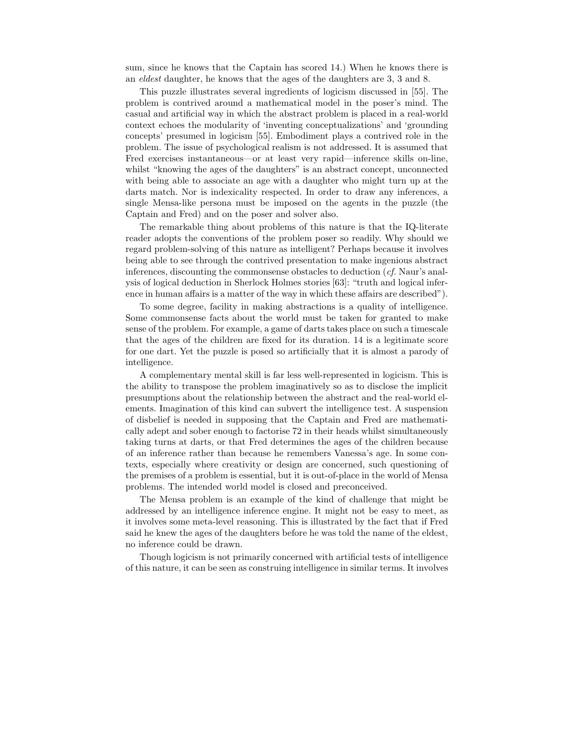sum, since he knows that the Captain has scored 14.) When he knows there is an eldest daughter, he knows that the ages of the daughters are 3, 3 and 8.

This puzzle illustrates several ingredients of logicism discussed in [55]. The problem is contrived around a mathematical model in the poser's mind. The casual and artificial way in which the abstract problem is placed in a real-world context echoes the modularity of 'inventing conceptualizations' and 'grounding concepts' presumed in logicism [55]. Embodiment plays a contrived role in the problem. The issue of psychological realism is not addressed. It is assumed that Fred exercises instantaneous—or at least very rapid—inference skills on-line, whilst "knowing the ages of the daughters" is an abstract concept, unconnected with being able to associate an age with a daughter who might turn up at the darts match. Nor is indexicality respected. In order to draw any inferences, a single Mensa-like persona must be imposed on the agents in the puzzle (the Captain and Fred) and on the poser and solver also.

The remarkable thing about problems of this nature is that the IQ-literate reader adopts the conventions of the problem poser so readily. Why should we regard problem-solving of this nature as intelligent? Perhaps because it involves being able to see through the contrived presentation to make ingenious abstract inferences, discounting the commonsense obstacles to deduction (cf. Naur's analysis of logical deduction in Sherlock Holmes stories [63]: "truth and logical inference in human affairs is a matter of the way in which these affairs are described").

To some degree, facility in making abstractions is a quality of intelligence. Some commonsense facts about the world must be taken for granted to make sense of the problem. For example, a game of darts takes place on such a timescale that the ages of the children are fixed for its duration. 14 is a legitimate score for one dart. Yet the puzzle is posed so artificially that it is almost a parody of intelligence.

A complementary mental skill is far less well-represented in logicism. This is the ability to transpose the problem imaginatively so as to disclose the implicit presumptions about the relationship between the abstract and the real-world elements. Imagination of this kind can subvert the intelligence test. A suspension of disbelief is needed in supposing that the Captain and Fred are mathematically adept and sober enough to factorise 72 in their heads whilst simultaneously taking turns at darts, or that Fred determines the ages of the children because of an inference rather than because he remembers Vanessa's age. In some contexts, especially where creativity or design are concerned, such questioning of the premises of a problem is essential, but it is out-of-place in the world of Mensa problems. The intended world model is closed and preconceived.

The Mensa problem is an example of the kind of challenge that might be addressed by an intelligence inference engine. It might not be easy to meet, as it involves some meta-level reasoning. This is illustrated by the fact that if Fred said he knew the ages of the daughters before he was told the name of the eldest, no inference could be drawn.

Though logicism is not primarily concerned with artificial tests of intelligence of this nature, it can be seen as construing intelligence in similar terms. It involves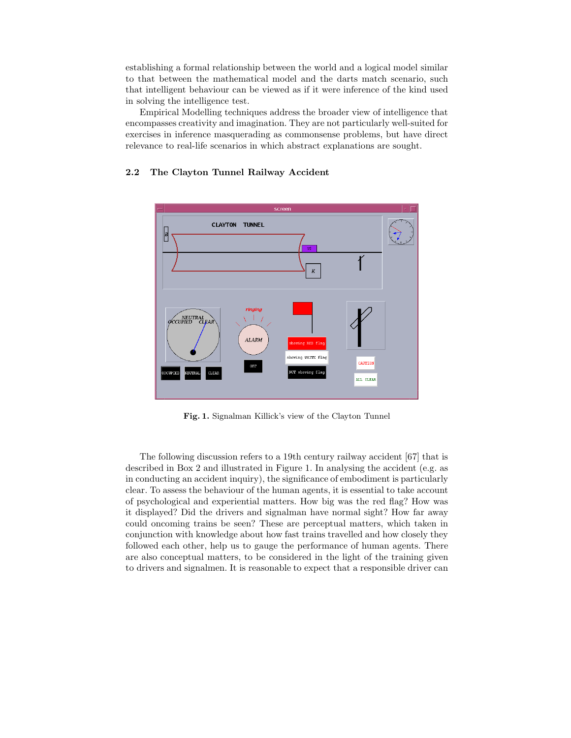establishing a formal relationship between the world and a logical model similar to that between the mathematical model and the darts match scenario, such that intelligent behaviour can be viewed as if it were inference of the kind used in solving the intelligence test.

Empirical Modelling techniques address the broader view of intelligence that encompasses creativity and imagination. They are not particularly well-suited for exercises in inference masquerading as commonsense problems, but have direct relevance to real-life scenarios in which abstract explanations are sought.



### 2.2 The Clayton Tunnel Railway Accident

Fig. 1. Signalman Killick's view of the Clayton Tunnel

The following discussion refers to a 19th century railway accident [67] that is described in Box 2 and illustrated in Figure 1. In analysing the accident (e.g. as in conducting an accident inquiry), the significance of embodiment is particularly clear. To assess the behaviour of the human agents, it is essential to take account of psychological and experiential matters. How big was the red flag? How was it displayed? Did the drivers and signalman have normal sight? How far away could oncoming trains be seen? These are perceptual matters, which taken in conjunction with knowledge about how fast trains travelled and how closely they followed each other, help us to gauge the performance of human agents. There are also conceptual matters, to be considered in the light of the training given to drivers and signalmen. It is reasonable to expect that a responsible driver can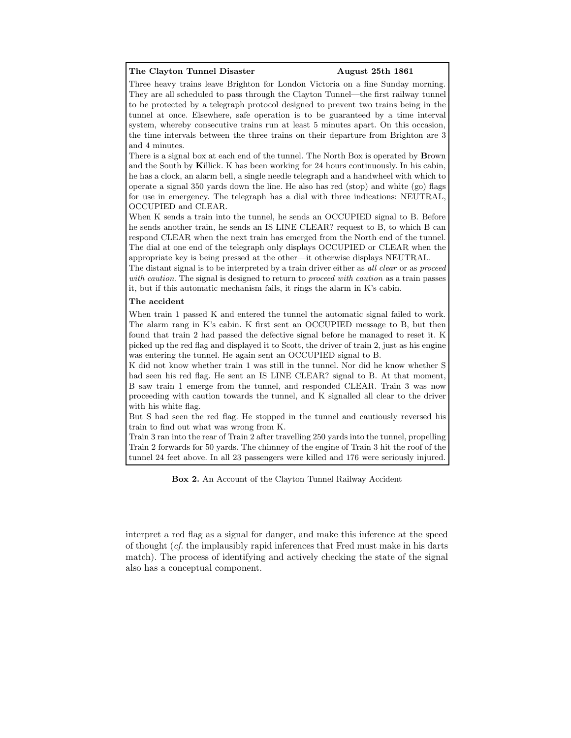#### The Clayton Tunnel Disaster August 25th 1861

Three heavy trains leave Brighton for London Victoria on a fine Sunday morning. They are all scheduled to pass through the Clayton Tunnel—the first railway tunnel to be protected by a telegraph protocol designed to prevent two trains being in the tunnel at once. Elsewhere, safe operation is to be guaranteed by a time interval system, whereby consecutive trains run at least 5 minutes apart. On this occasion, the time intervals between the three trains on their departure from Brighton are 3 and 4 minutes.

There is a signal box at each end of the tunnel. The North Box is operated by Brown and the South by Killick. K has been working for 24 hours continuously. In his cabin, he has a clock, an alarm bell, a single needle telegraph and a handwheel with which to operate a signal 350 yards down the line. He also has red (stop) and white (go) flags for use in emergency. The telegraph has a dial with three indications: NEUTRAL, OCCUPIED and CLEAR.

When K sends a train into the tunnel, he sends an OCCUPIED signal to B. Before he sends another train, he sends an IS LINE CLEAR? request to B, to which B can respond CLEAR when the next train has emerged from the North end of the tunnel. The dial at one end of the telegraph only displays OCCUPIED or CLEAR when the appropriate key is being pressed at the other—it otherwise displays NEUTRAL.

The distant signal is to be interpreted by a train driver either as all clear or as proceed with caution. The signal is designed to return to proceed with caution as a train passes it, but if this automatic mechanism fails, it rings the alarm in K's cabin.

#### The accident

When train 1 passed K and entered the tunnel the automatic signal failed to work. The alarm rang in K's cabin. K first sent an OCCUPIED message to B, but then found that train 2 had passed the defective signal before he managed to reset it. K picked up the red flag and displayed it to Scott, the driver of train 2, just as his engine was entering the tunnel. He again sent an OCCUPIED signal to B.

K did not know whether train 1 was still in the tunnel. Nor did he know whether S had seen his red flag. He sent an IS LINE CLEAR? signal to B. At that moment, B saw train 1 emerge from the tunnel, and responded CLEAR. Train 3 was now proceeding with caution towards the tunnel, and K signalled all clear to the driver with his white flag.

But S had seen the red flag. He stopped in the tunnel and cautiously reversed his train to find out what was wrong from K.

Train 3 ran into the rear of Train 2 after travelling 250 yards into the tunnel, propelling Train 2 forwards for 50 yards. The chimney of the engine of Train 3 hit the roof of the tunnel 24 feet above. In all 23 passengers were killed and 176 were seriously injured.

Box 2. An Account of the Clayton Tunnel Railway Accident

interpret a red flag as a signal for danger, and make this inference at the speed of thought (cf. the implausibly rapid inferences that Fred must make in his darts match). The process of identifying and actively checking the state of the signal also has a conceptual component.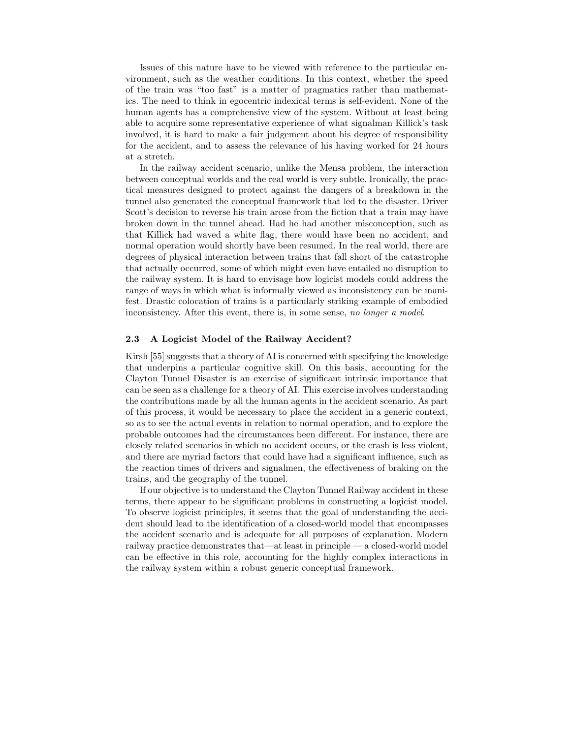Issues of this nature have to be viewed with reference to the particular environment, such as the weather conditions. In this context, whether the speed of the train was "too fast" is a matter of pragmatics rather than mathematics. The need to think in egocentric indexical terms is self-evident. None of the human agents has a comprehensive view of the system. Without at least being able to acquire some representative experience of what signalman Killick's task involved, it is hard to make a fair judgement about his degree of responsibility for the accident, and to assess the relevance of his having worked for 24 hours at a stretch.

In the railway accident scenario, unlike the Mensa problem, the interaction between conceptual worlds and the real world is very subtle. Ironically, the practical measures designed to protect against the dangers of a breakdown in the tunnel also generated the conceptual framework that led to the disaster. Driver Scott's decision to reverse his train arose from the fiction that a train may have broken down in the tunnel ahead. Had he had another misconception, such as that Killick had waved a white flag, there would have been no accident, and normal operation would shortly have been resumed. In the real world, there are degrees of physical interaction between trains that fall short of the catastrophe that actually occurred, some of which might even have entailed no disruption to the railway system. It is hard to envisage how logicist models could address the range of ways in which what is informally viewed as inconsistency can be manifest. Drastic colocation of trains is a particularly striking example of embodied inconsistency. After this event, there is, in some sense, no longer a model.

#### 2.3 A Logicist Model of the Railway Accident?

Kirsh [55] suggests that a theory of AI is concerned with specifying the knowledge that underpins a particular cognitive skill. On this basis, accounting for the Clayton Tunnel Disaster is an exercise of significant intrinsic importance that can be seen as a challenge for a theory of AI. This exercise involves understanding the contributions made by all the human agents in the accident scenario. As part of this process, it would be necessary to place the accident in a generic context, so as to see the actual events in relation to normal operation, and to explore the probable outcomes had the circumstances been different. For instance, there are closely related scenarios in which no accident occurs, or the crash is less violent, and there are myriad factors that could have had a significant influence, such as the reaction times of drivers and signalmen, the effectiveness of braking on the trains, and the geography of the tunnel.

If our objective is to understand the Clayton Tunnel Railway accident in these terms, there appear to be significant problems in constructing a logicist model. To observe logicist principles, it seems that the goal of understanding the accident should lead to the identification of a closed-world model that encompasses the accident scenario and is adequate for all purposes of explanation. Modern railway practice demonstrates that—at least in principle — a closed-world model can be effective in this role, accounting for the highly complex interactions in the railway system within a robust generic conceptual framework.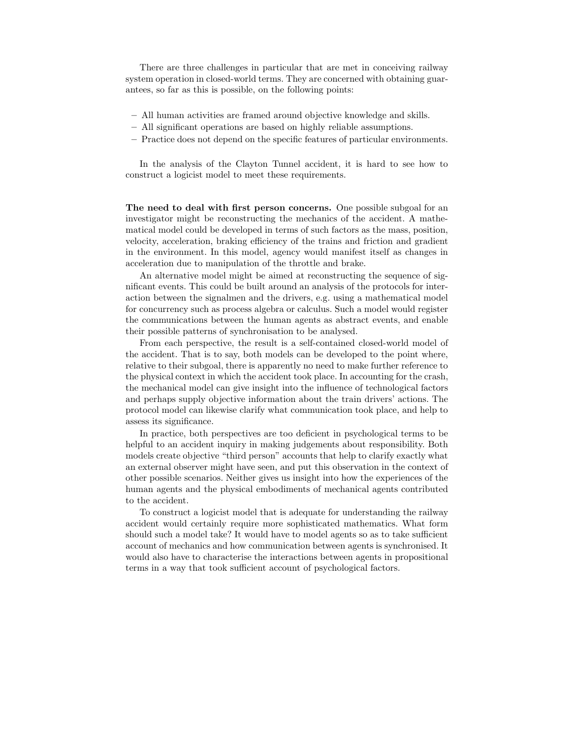There are three challenges in particular that are met in conceiving railway system operation in closed-world terms. They are concerned with obtaining guarantees, so far as this is possible, on the following points:

- All human activities are framed around objective knowledge and skills.
- All significant operations are based on highly reliable assumptions.
- Practice does not depend on the specific features of particular environments.

In the analysis of the Clayton Tunnel accident, it is hard to see how to construct a logicist model to meet these requirements.

The need to deal with first person concerns. One possible subgoal for an investigator might be reconstructing the mechanics of the accident. A mathematical model could be developed in terms of such factors as the mass, position, velocity, acceleration, braking efficiency of the trains and friction and gradient in the environment. In this model, agency would manifest itself as changes in acceleration due to manipulation of the throttle and brake.

An alternative model might be aimed at reconstructing the sequence of significant events. This could be built around an analysis of the protocols for interaction between the signalmen and the drivers, e.g. using a mathematical model for concurrency such as process algebra or calculus. Such a model would register the communications between the human agents as abstract events, and enable their possible patterns of synchronisation to be analysed.

From each perspective, the result is a self-contained closed-world model of the accident. That is to say, both models can be developed to the point where, relative to their subgoal, there is apparently no need to make further reference to the physical context in which the accident took place. In accounting for the crash, the mechanical model can give insight into the influence of technological factors and perhaps supply objective information about the train drivers' actions. The protocol model can likewise clarify what communication took place, and help to assess its significance.

In practice, both perspectives are too deficient in psychological terms to be helpful to an accident inquiry in making judgements about responsibility. Both models create objective "third person" accounts that help to clarify exactly what an external observer might have seen, and put this observation in the context of other possible scenarios. Neither gives us insight into how the experiences of the human agents and the physical embodiments of mechanical agents contributed to the accident.

To construct a logicist model that is adequate for understanding the railway accident would certainly require more sophisticated mathematics. What form should such a model take? It would have to model agents so as to take sufficient account of mechanics and how communication between agents is synchronised. It would also have to characterise the interactions between agents in propositional terms in a way that took sufficient account of psychological factors.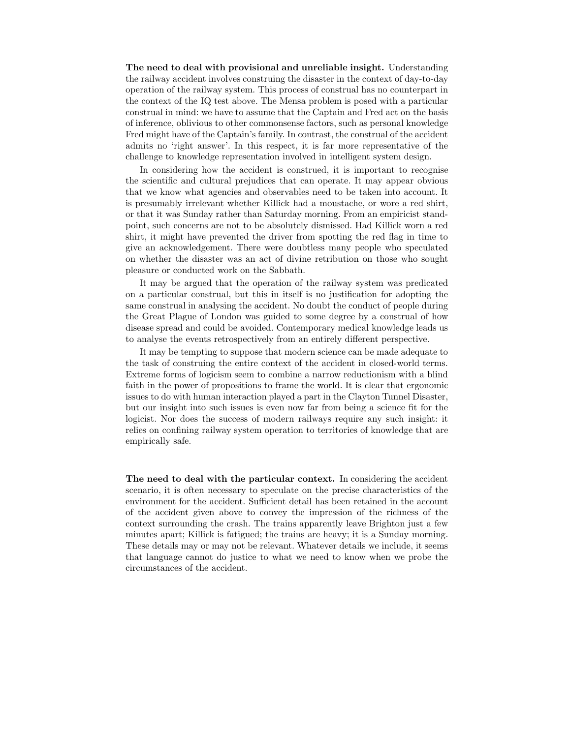The need to deal with provisional and unreliable insight. Understanding the railway accident involves construing the disaster in the context of day-to-day operation of the railway system. This process of construal has no counterpart in the context of the IQ test above. The Mensa problem is posed with a particular construal in mind: we have to assume that the Captain and Fred act on the basis of inference, oblivious to other commonsense factors, such as personal knowledge Fred might have of the Captain's family. In contrast, the construal of the accident admits no 'right answer'. In this respect, it is far more representative of the challenge to knowledge representation involved in intelligent system design.

In considering how the accident is construed, it is important to recognise the scientific and cultural prejudices that can operate. It may appear obvious that we know what agencies and observables need to be taken into account. It is presumably irrelevant whether Killick had a moustache, or wore a red shirt, or that it was Sunday rather than Saturday morning. From an empiricist standpoint, such concerns are not to be absolutely dismissed. Had Killick worn a red shirt, it might have prevented the driver from spotting the red flag in time to give an acknowledgement. There were doubtless many people who speculated on whether the disaster was an act of divine retribution on those who sought pleasure or conducted work on the Sabbath.

It may be argued that the operation of the railway system was predicated on a particular construal, but this in itself is no justification for adopting the same construal in analysing the accident. No doubt the conduct of people during the Great Plague of London was guided to some degree by a construal of how disease spread and could be avoided. Contemporary medical knowledge leads us to analyse the events retrospectively from an entirely different perspective.

It may be tempting to suppose that modern science can be made adequate to the task of construing the entire context of the accident in closed-world terms. Extreme forms of logicism seem to combine a narrow reductionism with a blind faith in the power of propositions to frame the world. It is clear that ergonomic issues to do with human interaction played a part in the Clayton Tunnel Disaster, but our insight into such issues is even now far from being a science fit for the logicist. Nor does the success of modern railways require any such insight: it relies on confining railway system operation to territories of knowledge that are empirically safe.

The need to deal with the particular context. In considering the accident scenario, it is often necessary to speculate on the precise characteristics of the environment for the accident. Sufficient detail has been retained in the account of the accident given above to convey the impression of the richness of the context surrounding the crash. The trains apparently leave Brighton just a few minutes apart; Killick is fatigued; the trains are heavy; it is a Sunday morning. These details may or may not be relevant. Whatever details we include, it seems that language cannot do justice to what we need to know when we probe the circumstances of the accident.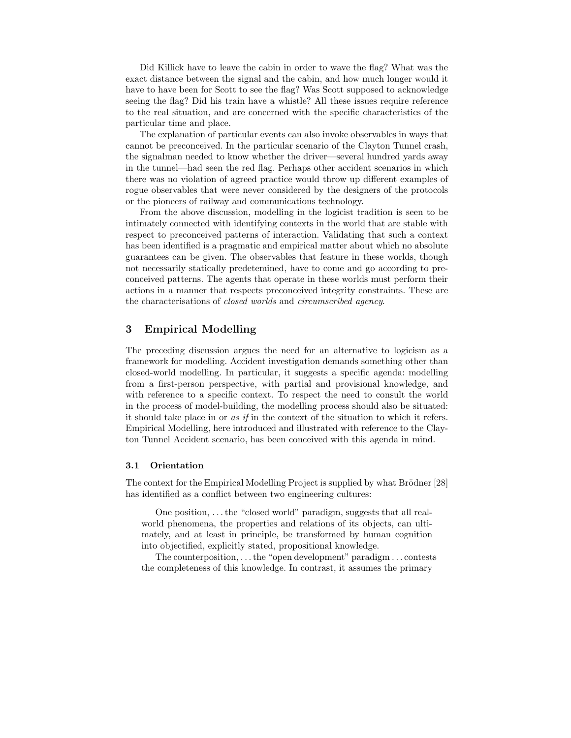Did Killick have to leave the cabin in order to wave the flag? What was the exact distance between the signal and the cabin, and how much longer would it have to have been for Scott to see the flag? Was Scott supposed to acknowledge seeing the flag? Did his train have a whistle? All these issues require reference to the real situation, and are concerned with the specific characteristics of the particular time and place.

The explanation of particular events can also invoke observables in ways that cannot be preconceived. In the particular scenario of the Clayton Tunnel crash, the signalman needed to know whether the driver—several hundred yards away in the tunnel—had seen the red flag. Perhaps other accident scenarios in which there was no violation of agreed practice would throw up different examples of rogue observables that were never considered by the designers of the protocols or the pioneers of railway and communications technology.

From the above discussion, modelling in the logicist tradition is seen to be intimately connected with identifying contexts in the world that are stable with respect to preconceived patterns of interaction. Validating that such a context has been identified is a pragmatic and empirical matter about which no absolute guarantees can be given. The observables that feature in these worlds, though not necessarily statically predetemined, have to come and go according to preconceived patterns. The agents that operate in these worlds must perform their actions in a manner that respects preconceived integrity constraints. These are the characterisations of closed worlds and circumscribed agency.

## 3 Empirical Modelling

The preceding discussion argues the need for an alternative to logicism as a framework for modelling. Accident investigation demands something other than closed-world modelling. In particular, it suggests a specific agenda: modelling from a first-person perspective, with partial and provisional knowledge, and with reference to a specific context. To respect the need to consult the world in the process of model-building, the modelling process should also be situated: it should take place in or as if in the context of the situation to which it refers. Empirical Modelling, here introduced and illustrated with reference to the Clayton Tunnel Accident scenario, has been conceived with this agenda in mind.

#### 3.1 Orientation

The context for the Empirical Modelling Project is supplied by what Brödner [28] has identified as a conflict between two engineering cultures:

One position, . . . the "closed world" paradigm, suggests that all realworld phenomena, the properties and relations of its objects, can ultimately, and at least in principle, be transformed by human cognition into objectified, explicitly stated, propositional knowledge.

The counterposition, . . . the "open development" paradigm . . . contests the completeness of this knowledge. In contrast, it assumes the primary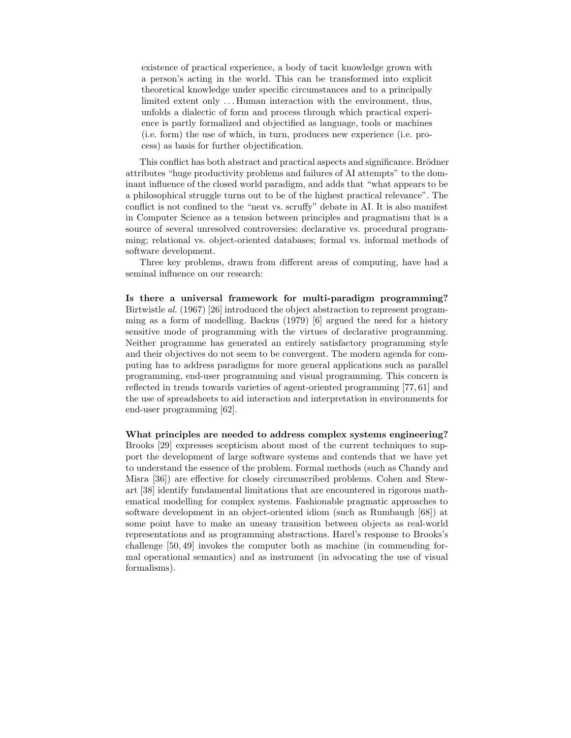existence of practical experience, a body of tacit knowledge grown with a person's acting in the world. This can be transformed into explicit theoretical knowledge under specific circumstances and to a principally limited extent only ... Human interaction with the environment, thus, unfolds a dialectic of form and process through which practical experience is partly formalized and objectified as language, tools or machines (i.e. form) the use of which, in turn, produces new experience (i.e. process) as basis for further objectification.

This conflict has both abstract and practical aspects and significance. Brödner attributes "huge productivity problems and failures of AI attempts" to the dominant influence of the closed world paradigm, and adds that "what appears to be a philosophical struggle turns out to be of the highest practical relevance". The conflict is not confined to the "neat vs. scruffy" debate in AI. It is also manifest in Computer Science as a tension between principles and pragmatism that is a source of several unresolved controversies: declarative vs. procedural programming; relational vs. object-oriented databases; formal vs. informal methods of software development.

Three key problems, drawn from different areas of computing, have had a seminal influence on our research:

Is there a universal framework for multi-paradigm programming? Birtwistle al. (1967) [26] introduced the object abstraction to represent programming as a form of modelling. Backus (1979) [6] argued the need for a history sensitive mode of programming with the virtues of declarative programming. Neither programme has generated an entirely satisfactory programming style and their objectives do not seem to be convergent. The modern agenda for computing has to address paradigms for more general applications such as parallel programming, end-user programming and visual programming. This concern is reflected in trends towards varieties of agent-oriented programming [77, 61] and the use of spreadsheets to aid interaction and interpretation in environments for end-user programming [62].

What principles are needed to address complex systems engineering? Brooks [29] expresses scepticism about most of the current techniques to support the development of large software systems and contends that we have yet to understand the essence of the problem. Formal methods (such as Chandy and Misra [36]) are effective for closely circumscribed problems. Cohen and Stewart [38] identify fundamental limitations that are encountered in rigorous mathematical modelling for complex systems. Fashionable pragmatic approaches to software development in an object-oriented idiom (such as Rumbaugh [68]) at some point have to make an uneasy transition between objects as real-world representations and as programming abstractions. Harel's response to Brooks's challenge [50, 49] invokes the computer both as machine (in commending formal operational semantics) and as instrument (in advocating the use of visual formalisms).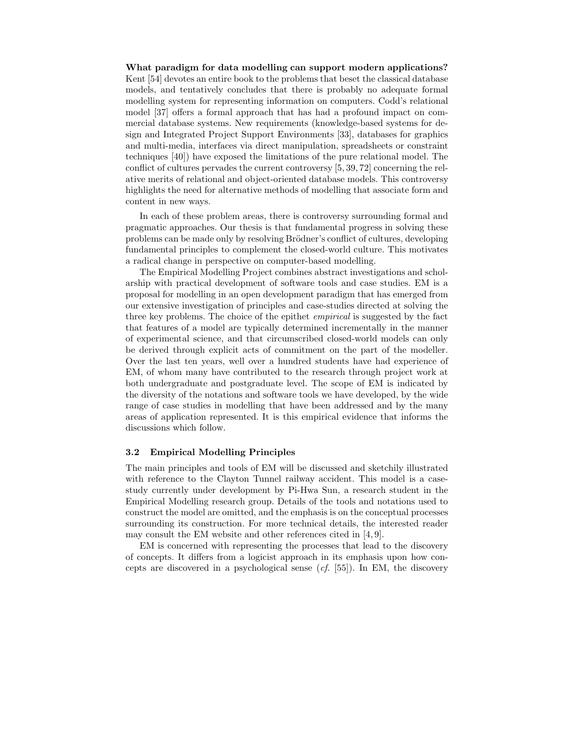What paradigm for data modelling can support modern applications? Kent [54] devotes an entire book to the problems that beset the classical database models, and tentatively concludes that there is probably no adequate formal modelling system for representing information on computers. Codd's relational model [37] offers a formal approach that has had a profound impact on commercial database systems. New requirements (knowledge-based systems for design and Integrated Project Support Environments [33], databases for graphics and multi-media, interfaces via direct manipulation, spreadsheets or constraint techniques [40]) have exposed the limitations of the pure relational model. The conflict of cultures pervades the current controversy [5, 39, 72] concerning the relative merits of relational and object-oriented database models. This controversy highlights the need for alternative methods of modelling that associate form and content in new ways.

In each of these problem areas, there is controversy surrounding formal and pragmatic approaches. Our thesis is that fundamental progress in solving these problems can be made only by resolving Brödner's conflict of cultures, developing fundamental principles to complement the closed-world culture. This motivates a radical change in perspective on computer-based modelling.

The Empirical Modelling Project combines abstract investigations and scholarship with practical development of software tools and case studies. EM is a proposal for modelling in an open development paradigm that has emerged from our extensive investigation of principles and case-studies directed at solving the three key problems. The choice of the epithet empirical is suggested by the fact that features of a model are typically determined incrementally in the manner of experimental science, and that circumscribed closed-world models can only be derived through explicit acts of commitment on the part of the modeller. Over the last ten years, well over a hundred students have had experience of EM, of whom many have contributed to the research through project work at both undergraduate and postgraduate level. The scope of EM is indicated by the diversity of the notations and software tools we have developed, by the wide range of case studies in modelling that have been addressed and by the many areas of application represented. It is this empirical evidence that informs the discussions which follow.

#### 3.2 Empirical Modelling Principles

The main principles and tools of EM will be discussed and sketchily illustrated with reference to the Clayton Tunnel railway accident. This model is a casestudy currently under development by Pi-Hwa Sun, a research student in the Empirical Modelling research group. Details of the tools and notations used to construct the model are omitted, and the emphasis is on the conceptual processes surrounding its construction. For more technical details, the interested reader may consult the EM website and other references cited in [4, 9].

EM is concerned with representing the processes that lead to the discovery of concepts. It differs from a logicist approach in its emphasis upon how concepts are discovered in a psychological sense  $(cf. [55])$ . In EM, the discovery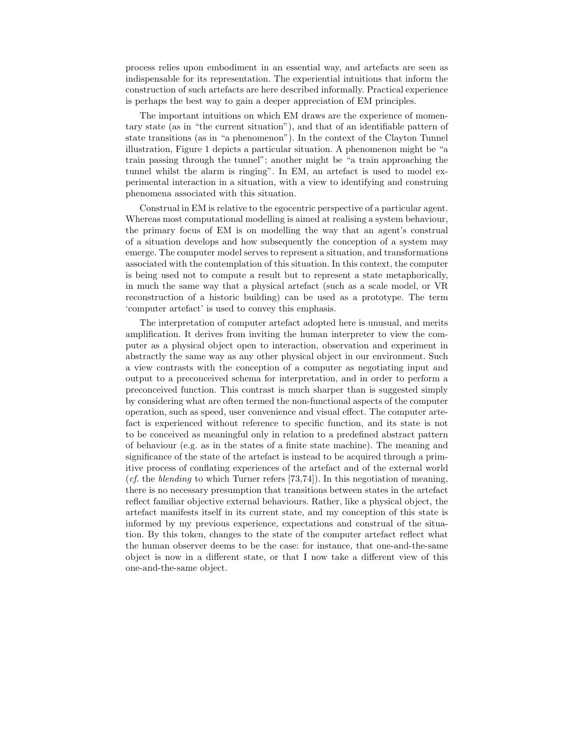process relies upon embodiment in an essential way, and artefacts are seen as indispensable for its representation. The experiential intuitions that inform the construction of such artefacts are here described informally. Practical experience is perhaps the best way to gain a deeper appreciation of EM principles.

The important intuitions on which EM draws are the experience of momentary state (as in "the current situation"), and that of an identifiable pattern of state transitions (as in "a phenomenon"). In the context of the Clayton Tunnel illustration, Figure 1 depicts a particular situation. A phenomenon might be "a train passing through the tunnel"; another might be "a train approaching the tunnel whilst the alarm is ringing". In EM, an artefact is used to model experimental interaction in a situation, with a view to identifying and construing phenomena associated with this situation.

Construal in EM is relative to the egocentric perspective of a particular agent. Whereas most computational modelling is aimed at realising a system behaviour, the primary focus of EM is on modelling the way that an agent's construal of a situation develops and how subsequently the conception of a system may emerge. The computer model serves to represent a situation, and transformations associated with the contemplation of this situation. In this context, the computer is being used not to compute a result but to represent a state metaphorically, in much the same way that a physical artefact (such as a scale model, or VR reconstruction of a historic building) can be used as a prototype. The term 'computer artefact' is used to convey this emphasis.

The interpretation of computer artefact adopted here is unusual, and merits amplification. It derives from inviting the human interpreter to view the computer as a physical object open to interaction, observation and experiment in abstractly the same way as any other physical object in our environment. Such a view contrasts with the conception of a computer as negotiating input and output to a preconceived schema for interpretation, and in order to perform a preconceived function. This contrast is much sharper than is suggested simply by considering what are often termed the non-functional aspects of the computer operation, such as speed, user convenience and visual effect. The computer artefact is experienced without reference to specific function, and its state is not to be conceived as meaningful only in relation to a predefined abstract pattern of behaviour (e.g. as in the states of a finite state machine). The meaning and significance of the state of the artefact is instead to be acquired through a primitive process of conflating experiences of the artefact and of the external world (*cf.* the blending to which Turner refers  $[73,74]$ ). In this negotiation of meaning, there is no necessary presumption that transitions between states in the artefact reflect familiar objective external behaviours. Rather, like a physical object, the artefact manifests itself in its current state, and my conception of this state is informed by my previous experience, expectations and construal of the situation. By this token, changes to the state of the computer artefact reflect what the human observer deems to be the case: for instance, that one-and-the-same object is now in a different state, or that I now take a different view of this one-and-the-same object.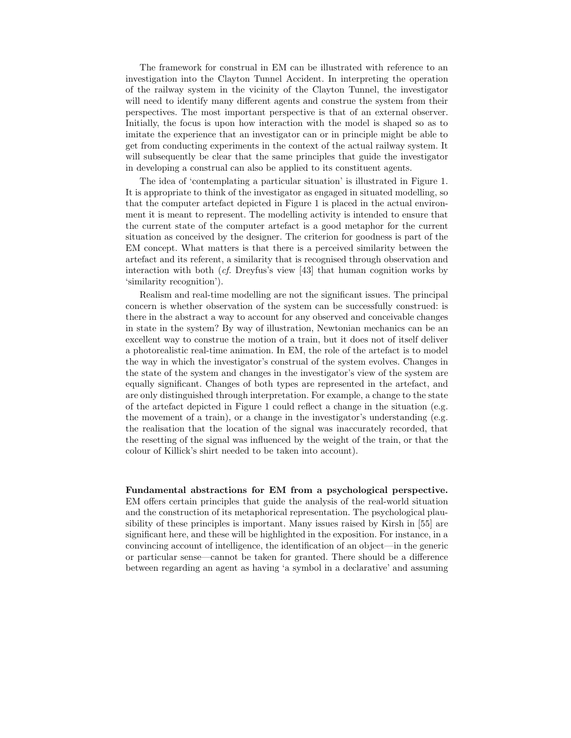The framework for construal in EM can be illustrated with reference to an investigation into the Clayton Tunnel Accident. In interpreting the operation of the railway system in the vicinity of the Clayton Tunnel, the investigator will need to identify many different agents and construe the system from their perspectives. The most important perspective is that of an external observer. Initially, the focus is upon how interaction with the model is shaped so as to imitate the experience that an investigator can or in principle might be able to get from conducting experiments in the context of the actual railway system. It will subsequently be clear that the same principles that guide the investigator in developing a construal can also be applied to its constituent agents.

The idea of 'contemplating a particular situation' is illustrated in Figure 1. It is appropriate to think of the investigator as engaged in situated modelling, so that the computer artefact depicted in Figure 1 is placed in the actual environment it is meant to represent. The modelling activity is intended to ensure that the current state of the computer artefact is a good metaphor for the current situation as conceived by the designer. The criterion for goodness is part of the EM concept. What matters is that there is a perceived similarity between the artefact and its referent, a similarity that is recognised through observation and interaction with both (cf. Dreyfus's view [43] that human cognition works by 'similarity recognition').

Realism and real-time modelling are not the significant issues. The principal concern is whether observation of the system can be successfully construed: is there in the abstract a way to account for any observed and conceivable changes in state in the system? By way of illustration, Newtonian mechanics can be an excellent way to construe the motion of a train, but it does not of itself deliver a photorealistic real-time animation. In EM, the role of the artefact is to model the way in which the investigator's construal of the system evolves. Changes in the state of the system and changes in the investigator's view of the system are equally significant. Changes of both types are represented in the artefact, and are only distinguished through interpretation. For example, a change to the state of the artefact depicted in Figure 1 could reflect a change in the situation (e.g. the movement of a train), or a change in the investigator's understanding (e.g. the realisation that the location of the signal was inaccurately recorded, that the resetting of the signal was influenced by the weight of the train, or that the colour of Killick's shirt needed to be taken into account).

Fundamental abstractions for EM from a psychological perspective. EM offers certain principles that guide the analysis of the real-world situation and the construction of its metaphorical representation. The psychological plausibility of these principles is important. Many issues raised by Kirsh in [55] are significant here, and these will be highlighted in the exposition. For instance, in a convincing account of intelligence, the identification of an object—in the generic or particular sense—cannot be taken for granted. There should be a difference between regarding an agent as having 'a symbol in a declarative' and assuming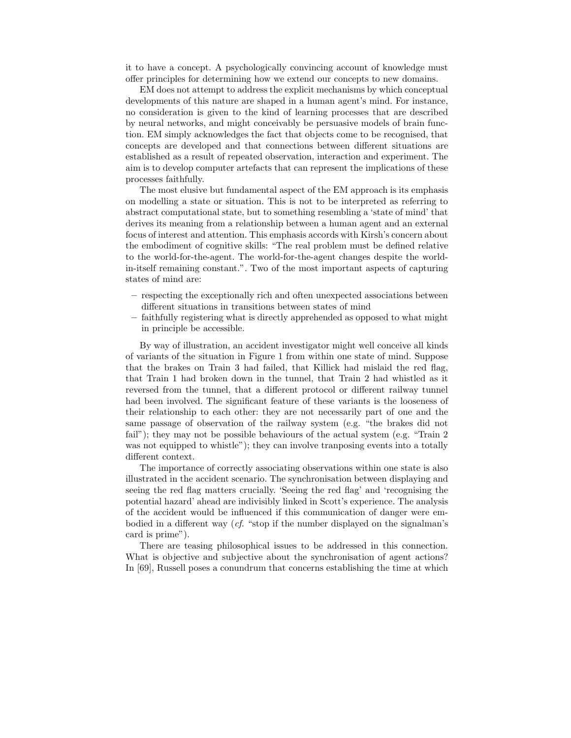it to have a concept. A psychologically convincing account of knowledge must offer principles for determining how we extend our concepts to new domains.

EM does not attempt to address the explicit mechanisms by which conceptual developments of this nature are shaped in a human agent's mind. For instance, no consideration is given to the kind of learning processes that are described by neural networks, and might conceivably be persuasive models of brain function. EM simply acknowledges the fact that objects come to be recognised, that concepts are developed and that connections between different situations are established as a result of repeated observation, interaction and experiment. The aim is to develop computer artefacts that can represent the implications of these processes faithfully.

The most elusive but fundamental aspect of the EM approach is its emphasis on modelling a state or situation. This is not to be interpreted as referring to abstract computational state, but to something resembling a 'state of mind' that derives its meaning from a relationship between a human agent and an external focus of interest and attention. This emphasis accords with Kirsh's concern about the embodiment of cognitive skills: "The real problem must be defined relative to the world-for-the-agent. The world-for-the-agent changes despite the worldin-itself remaining constant.". Two of the most important aspects of capturing states of mind are:

- respecting the exceptionally rich and often unexpected associations between different situations in transitions between states of mind
- faithfully registering what is directly apprehended as opposed to what might in principle be accessible.

By way of illustration, an accident investigator might well conceive all kinds of variants of the situation in Figure 1 from within one state of mind. Suppose that the brakes on Train 3 had failed, that Killick had mislaid the red flag, that Train 1 had broken down in the tunnel, that Train 2 had whistled as it reversed from the tunnel, that a different protocol or different railway tunnel had been involved. The significant feature of these variants is the looseness of their relationship to each other: they are not necessarily part of one and the same passage of observation of the railway system (e.g. "the brakes did not fail"); they may not be possible behaviours of the actual system (e.g. "Train 2 was not equipped to whistle"); they can involve tranposing events into a totally different context.

The importance of correctly associating observations within one state is also illustrated in the accident scenario. The synchronisation between displaying and seeing the red flag matters crucially. 'Seeing the red flag' and 'recognising the potential hazard' ahead are indivisibly linked in Scott's experience. The analysis of the accident would be influenced if this communication of danger were embodied in a different way  $(cf.$  "stop if the number displayed on the signalman's card is prime").

There are teasing philosophical issues to be addressed in this connection. What is objective and subjective about the synchronisation of agent actions? In [69], Russell poses a conundrum that concerns establishing the time at which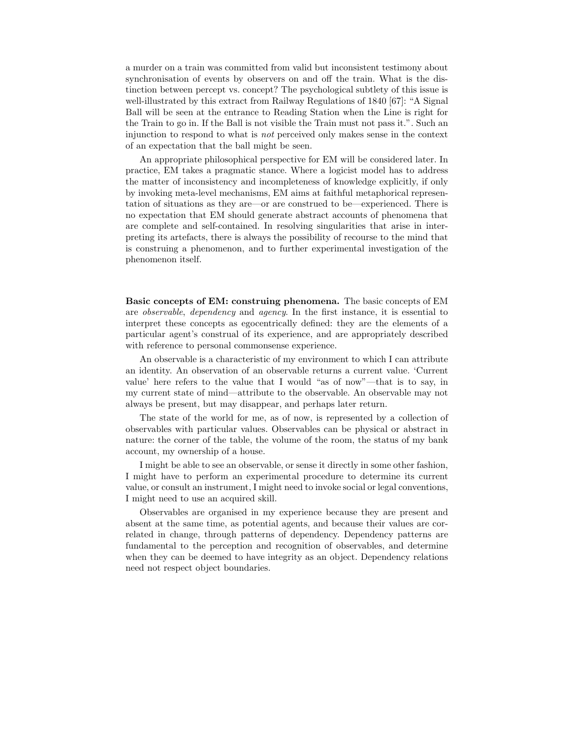a murder on a train was committed from valid but inconsistent testimony about synchronisation of events by observers on and off the train. What is the distinction between percept vs. concept? The psychological subtlety of this issue is well-illustrated by this extract from Railway Regulations of 1840 [67]: "A Signal Ball will be seen at the entrance to Reading Station when the Line is right for the Train to go in. If the Ball is not visible the Train must not pass it.". Such an injunction to respond to what is not perceived only makes sense in the context of an expectation that the ball might be seen.

An appropriate philosophical perspective for EM will be considered later. In practice, EM takes a pragmatic stance. Where a logicist model has to address the matter of inconsistency and incompleteness of knowledge explicitly, if only by invoking meta-level mechanisms, EM aims at faithful metaphorical representation of situations as they are—or are construed to be—experienced. There is no expectation that EM should generate abstract accounts of phenomena that are complete and self-contained. In resolving singularities that arise in interpreting its artefacts, there is always the possibility of recourse to the mind that is construing a phenomenon, and to further experimental investigation of the phenomenon itself.

Basic concepts of EM: construing phenomena. The basic concepts of EM are observable, dependency and agency. In the first instance, it is essential to interpret these concepts as egocentrically defined: they are the elements of a particular agent's construal of its experience, and are appropriately described with reference to personal commonsense experience.

An observable is a characteristic of my environment to which I can attribute an identity. An observation of an observable returns a current value. 'Current value' here refers to the value that I would "as of now"—that is to say, in my current state of mind—attribute to the observable. An observable may not always be present, but may disappear, and perhaps later return.

The state of the world for me, as of now, is represented by a collection of observables with particular values. Observables can be physical or abstract in nature: the corner of the table, the volume of the room, the status of my bank account, my ownership of a house.

I might be able to see an observable, or sense it directly in some other fashion, I might have to perform an experimental procedure to determine its current value, or consult an instrument, I might need to invoke social or legal conventions, I might need to use an acquired skill.

Observables are organised in my experience because they are present and absent at the same time, as potential agents, and because their values are correlated in change, through patterns of dependency. Dependency patterns are fundamental to the perception and recognition of observables, and determine when they can be deemed to have integrity as an object. Dependency relations need not respect object boundaries.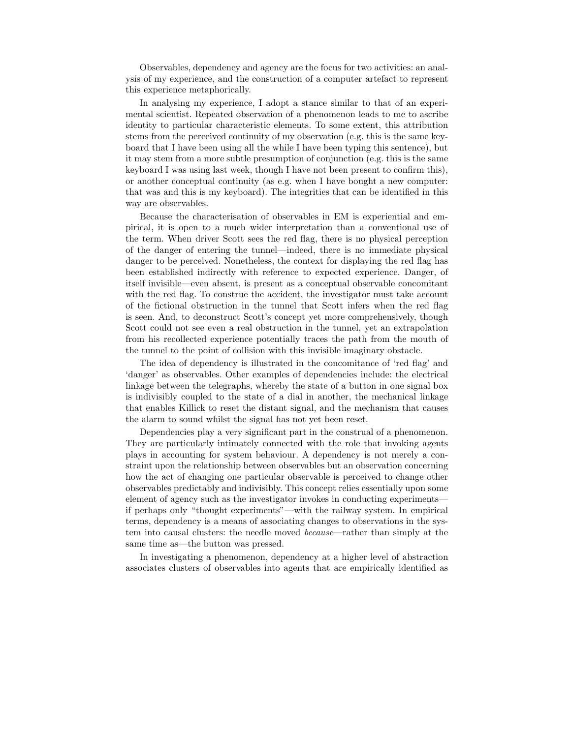Observables, dependency and agency are the focus for two activities: an analysis of my experience, and the construction of a computer artefact to represent this experience metaphorically.

In analysing my experience, I adopt a stance similar to that of an experimental scientist. Repeated observation of a phenomenon leads to me to ascribe identity to particular characteristic elements. To some extent, this attribution stems from the perceived continuity of my observation (e.g. this is the same keyboard that I have been using all the while I have been typing this sentence), but it may stem from a more subtle presumption of conjunction (e.g. this is the same keyboard I was using last week, though I have not been present to confirm this), or another conceptual continuity (as e.g. when I have bought a new computer: that was and this is my keyboard). The integrities that can be identified in this way are observables.

Because the characterisation of observables in EM is experiential and empirical, it is open to a much wider interpretation than a conventional use of the term. When driver Scott sees the red flag, there is no physical perception of the danger of entering the tunnel—indeed, there is no immediate physical danger to be perceived. Nonetheless, the context for displaying the red flag has been established indirectly with reference to expected experience. Danger, of itself invisible—even absent, is present as a conceptual observable concomitant with the red flag. To construe the accident, the investigator must take account of the fictional obstruction in the tunnel that Scott infers when the red flag is seen. And, to deconstruct Scott's concept yet more comprehensively, though Scott could not see even a real obstruction in the tunnel, yet an extrapolation from his recollected experience potentially traces the path from the mouth of the tunnel to the point of collision with this invisible imaginary obstacle.

The idea of dependency is illustrated in the concomitance of 'red flag' and 'danger' as observables. Other examples of dependencies include: the electrical linkage between the telegraphs, whereby the state of a button in one signal box is indivisibly coupled to the state of a dial in another, the mechanical linkage that enables Killick to reset the distant signal, and the mechanism that causes the alarm to sound whilst the signal has not yet been reset.

Dependencies play a very significant part in the construal of a phenomenon. They are particularly intimately connected with the role that invoking agents plays in accounting for system behaviour. A dependency is not merely a constraint upon the relationship between observables but an observation concerning how the act of changing one particular observable is perceived to change other observables predictably and indivisibly. This concept relies essentially upon some element of agency such as the investigator invokes in conducting experiments if perhaps only "thought experiments"—with the railway system. In empirical terms, dependency is a means of associating changes to observations in the system into causal clusters: the needle moved because—rather than simply at the same time as—the button was pressed.

In investigating a phenomenon, dependency at a higher level of abstraction associates clusters of observables into agents that are empirically identified as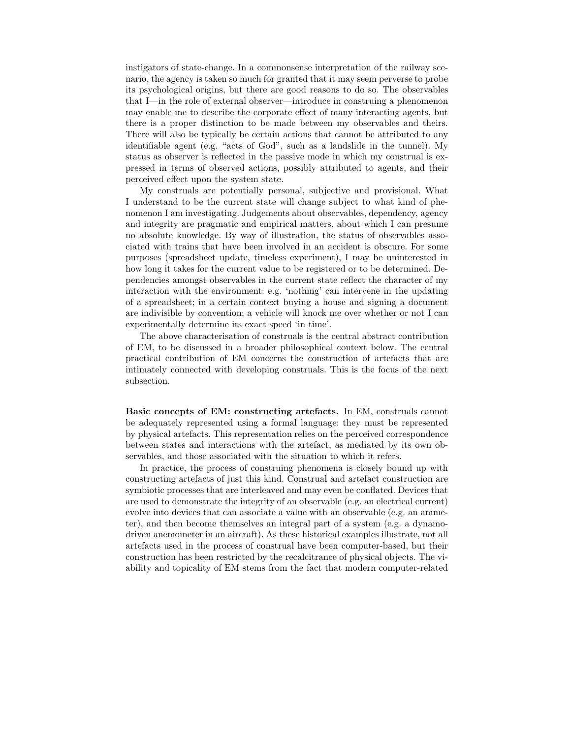instigators of state-change. In a commonsense interpretation of the railway scenario, the agency is taken so much for granted that it may seem perverse to probe its psychological origins, but there are good reasons to do so. The observables that I—in the role of external observer—introduce in construing a phenomenon may enable me to describe the corporate effect of many interacting agents, but there is a proper distinction to be made between my observables and theirs. There will also be typically be certain actions that cannot be attributed to any identifiable agent (e.g. "acts of God", such as a landslide in the tunnel). My status as observer is reflected in the passive mode in which my construal is expressed in terms of observed actions, possibly attributed to agents, and their perceived effect upon the system state.

My construals are potentially personal, subjective and provisional. What I understand to be the current state will change subject to what kind of phenomenon I am investigating. Judgements about observables, dependency, agency and integrity are pragmatic and empirical matters, about which I can presume no absolute knowledge. By way of illustration, the status of observables associated with trains that have been involved in an accident is obscure. For some purposes (spreadsheet update, timeless experiment), I may be uninterested in how long it takes for the current value to be registered or to be determined. Dependencies amongst observables in the current state reflect the character of my interaction with the environment: e.g. 'nothing' can intervene in the updating of a spreadsheet; in a certain context buying a house and signing a document are indivisible by convention; a vehicle will knock me over whether or not I can experimentally determine its exact speed 'in time'.

The above characterisation of construals is the central abstract contribution of EM, to be discussed in a broader philosophical context below. The central practical contribution of EM concerns the construction of artefacts that are intimately connected with developing construals. This is the focus of the next subsection.

Basic concepts of EM: constructing artefacts. In EM, construals cannot be adequately represented using a formal language: they must be represented by physical artefacts. This representation relies on the perceived correspondence between states and interactions with the artefact, as mediated by its own observables, and those associated with the situation to which it refers.

In practice, the process of construing phenomena is closely bound up with constructing artefacts of just this kind. Construal and artefact construction are symbiotic processes that are interleaved and may even be conflated. Devices that are used to demonstrate the integrity of an observable (e.g. an electrical current) evolve into devices that can associate a value with an observable (e.g. an ammeter), and then become themselves an integral part of a system (e.g. a dynamodriven anemometer in an aircraft). As these historical examples illustrate, not all artefacts used in the process of construal have been computer-based, but their construction has been restricted by the recalcitrance of physical objects. The viability and topicality of EM stems from the fact that modern computer-related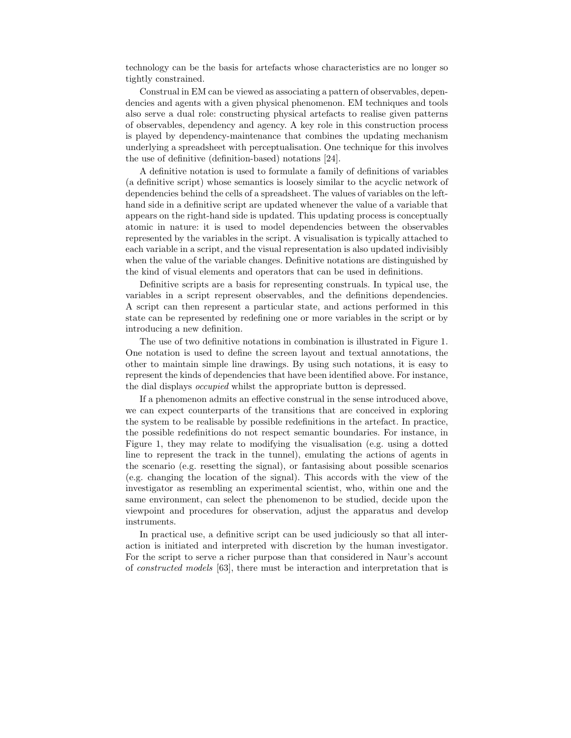technology can be the basis for artefacts whose characteristics are no longer so tightly constrained.

Construal in EM can be viewed as associating a pattern of observables, dependencies and agents with a given physical phenomenon. EM techniques and tools also serve a dual role: constructing physical artefacts to realise given patterns of observables, dependency and agency. A key role in this construction process is played by dependency-maintenance that combines the updating mechanism underlying a spreadsheet with perceptualisation. One technique for this involves the use of definitive (definition-based) notations [24].

A definitive notation is used to formulate a family of definitions of variables (a definitive script) whose semantics is loosely similar to the acyclic network of dependencies behind the cells of a spreadsheet. The values of variables on the lefthand side in a definitive script are updated whenever the value of a variable that appears on the right-hand side is updated. This updating process is conceptually atomic in nature: it is used to model dependencies between the observables represented by the variables in the script. A visualisation is typically attached to each variable in a script, and the visual representation is also updated indivisibly when the value of the variable changes. Definitive notations are distinguished by the kind of visual elements and operators that can be used in definitions.

Definitive scripts are a basis for representing construals. In typical use, the variables in a script represent observables, and the definitions dependencies. A script can then represent a particular state, and actions performed in this state can be represented by redefining one or more variables in the script or by introducing a new definition.

The use of two definitive notations in combination is illustrated in Figure 1. One notation is used to define the screen layout and textual annotations, the other to maintain simple line drawings. By using such notations, it is easy to represent the kinds of dependencies that have been identified above. For instance, the dial displays occupied whilst the appropriate button is depressed.

If a phenomenon admits an effective construal in the sense introduced above, we can expect counterparts of the transitions that are conceived in exploring the system to be realisable by possible redefinitions in the artefact. In practice, the possible redefinitions do not respect semantic boundaries. For instance, in Figure 1, they may relate to modifying the visualisation (e.g. using a dotted line to represent the track in the tunnel), emulating the actions of agents in the scenario (e.g. resetting the signal), or fantasising about possible scenarios (e.g. changing the location of the signal). This accords with the view of the investigator as resembling an experimental scientist, who, within one and the same environment, can select the phenomenon to be studied, decide upon the viewpoint and procedures for observation, adjust the apparatus and develop instruments.

In practical use, a definitive script can be used judiciously so that all interaction is initiated and interpreted with discretion by the human investigator. For the script to serve a richer purpose than that considered in Naur's account of constructed models [63], there must be interaction and interpretation that is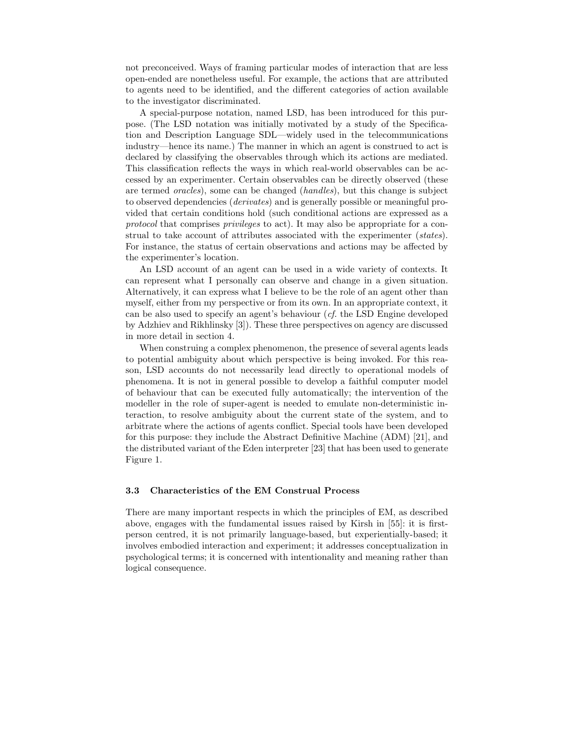not preconceived. Ways of framing particular modes of interaction that are less open-ended are nonetheless useful. For example, the actions that are attributed to agents need to be identified, and the different categories of action available to the investigator discriminated.

A special-purpose notation, named LSD, has been introduced for this purpose. (The LSD notation was initially motivated by a study of the Specification and Description Language SDL—widely used in the telecommunications industry—hence its name.) The manner in which an agent is construed to act is declared by classifying the observables through which its actions are mediated. This classification reflects the ways in which real-world observables can be accessed by an experimenter. Certain observables can be directly observed (these are termed oracles), some can be changed (handles), but this change is subject to observed dependencies (derivates) and is generally possible or meaningful provided that certain conditions hold (such conditional actions are expressed as a protocol that comprises privileges to act). It may also be appropriate for a construal to take account of attributes associated with the experimenter (states). For instance, the status of certain observations and actions may be affected by the experimenter's location.

An LSD account of an agent can be used in a wide variety of contexts. It can represent what I personally can observe and change in a given situation. Alternatively, it can express what I believe to be the role of an agent other than myself, either from my perspective or from its own. In an appropriate context, it can be also used to specify an agent's behaviour (cf. the LSD Engine developed by Adzhiev and Rikhlinsky [3]). These three perspectives on agency are discussed in more detail in section 4.

When construing a complex phenomenon, the presence of several agents leads to potential ambiguity about which perspective is being invoked. For this reason, LSD accounts do not necessarily lead directly to operational models of phenomena. It is not in general possible to develop a faithful computer model of behaviour that can be executed fully automatically; the intervention of the modeller in the role of super-agent is needed to emulate non-deterministic interaction, to resolve ambiguity about the current state of the system, and to arbitrate where the actions of agents conflict. Special tools have been developed for this purpose: they include the Abstract Definitive Machine (ADM) [21], and the distributed variant of the Eden interpreter [23] that has been used to generate Figure 1.

#### 3.3 Characteristics of the EM Construal Process

There are many important respects in which the principles of EM, as described above, engages with the fundamental issues raised by Kirsh in [55]: it is firstperson centred, it is not primarily language-based, but experientially-based; it involves embodied interaction and experiment; it addresses conceptualization in psychological terms; it is concerned with intentionality and meaning rather than logical consequence.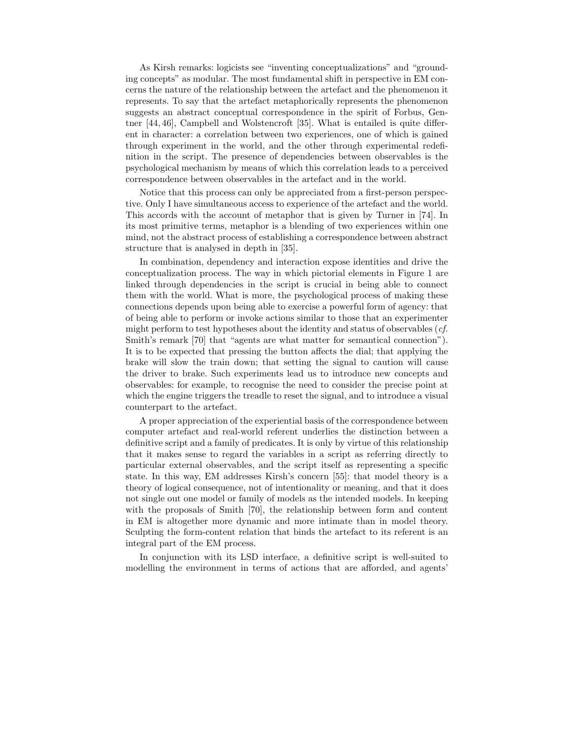As Kirsh remarks: logicists see "inventing conceptualizations" and "grounding concepts" as modular. The most fundamental shift in perspective in EM concerns the nature of the relationship between the artefact and the phenomenon it represents. To say that the artefact metaphorically represents the phenomenon suggests an abstract conceptual correspondence in the spirit of Forbus, Gentner [44, 46], Campbell and Wolstencroft [35]. What is entailed is quite different in character: a correlation between two experiences, one of which is gained through experiment in the world, and the other through experimental redefinition in the script. The presence of dependencies between observables is the psychological mechanism by means of which this correlation leads to a perceived correspondence between observables in the artefact and in the world.

Notice that this process can only be appreciated from a first-person perspective. Only I have simultaneous access to experience of the artefact and the world. This accords with the account of metaphor that is given by Turner in [74]. In its most primitive terms, metaphor is a blending of two experiences within one mind, not the abstract process of establishing a correspondence between abstract structure that is analysed in depth in [35].

In combination, dependency and interaction expose identities and drive the conceptualization process. The way in which pictorial elements in Figure 1 are linked through dependencies in the script is crucial in being able to connect them with the world. What is more, the psychological process of making these connections depends upon being able to exercise a powerful form of agency: that of being able to perform or invoke actions similar to those that an experimenter might perform to test hypotheses about the identity and status of observables (cf. Smith's remark [70] that "agents are what matter for semantical connection"). It is to be expected that pressing the button affects the dial; that applying the brake will slow the train down; that setting the signal to caution will cause the driver to brake. Such experiments lead us to introduce new concepts and observables: for example, to recognise the need to consider the precise point at which the engine triggers the treadle to reset the signal, and to introduce a visual counterpart to the artefact.

A proper appreciation of the experiential basis of the correspondence between computer artefact and real-world referent underlies the distinction between a definitive script and a family of predicates. It is only by virtue of this relationship that it makes sense to regard the variables in a script as referring directly to particular external observables, and the script itself as representing a specific state. In this way, EM addresses Kirsh's concern [55]: that model theory is a theory of logical consequence, not of intentionality or meaning, and that it does not single out one model or family of models as the intended models. In keeping with the proposals of Smith [70], the relationship between form and content in EM is altogether more dynamic and more intimate than in model theory. Sculpting the form-content relation that binds the artefact to its referent is an integral part of the EM process.

In conjunction with its LSD interface, a definitive script is well-suited to modelling the environment in terms of actions that are afforded, and agents'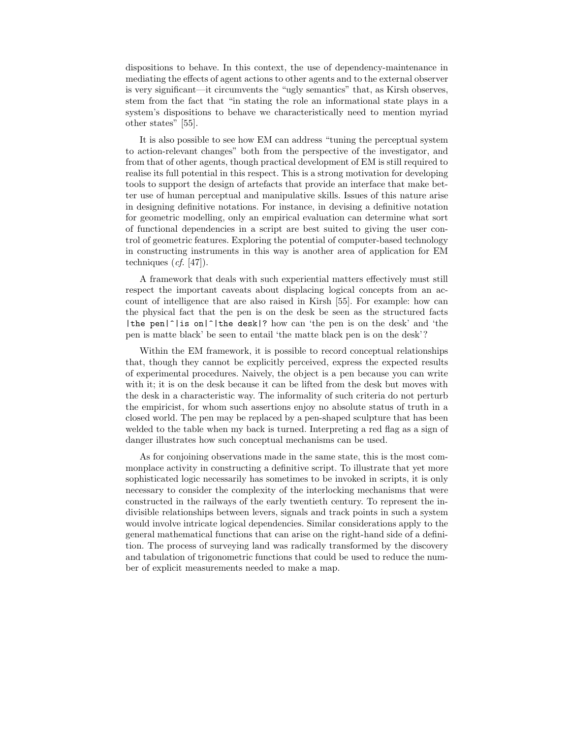dispositions to behave. In this context, the use of dependency-maintenance in mediating the effects of agent actions to other agents and to the external observer is very significant—it circumvents the "ugly semantics" that, as Kirsh observes, stem from the fact that "in stating the role an informational state plays in a system's dispositions to behave we characteristically need to mention myriad other states" [55].

It is also possible to see how EM can address "tuning the perceptual system to action-relevant changes" both from the perspective of the investigator, and from that of other agents, though practical development of EM is still required to realise its full potential in this respect. This is a strong motivation for developing tools to support the design of artefacts that provide an interface that make better use of human perceptual and manipulative skills. Issues of this nature arise in designing definitive notations. For instance, in devising a definitive notation for geometric modelling, only an empirical evaluation can determine what sort of functional dependencies in a script are best suited to giving the user control of geometric features. Exploring the potential of computer-based technology in constructing instruments in this way is another area of application for EM techniques (cf. [47]).

A framework that deals with such experiential matters effectively must still respect the important caveats about displacing logical concepts from an account of intelligence that are also raised in Kirsh [55]. For example: how can the physical fact that the pen is on the desk be seen as the structured facts |the pen|^|is on|^|the desk|? how can 'the pen is on the desk' and 'the pen is matte black' be seen to entail 'the matte black pen is on the desk'?

Within the EM framework, it is possible to record conceptual relationships that, though they cannot be explicitly perceived, express the expected results of experimental procedures. Naively, the object is a pen because you can write with it; it is on the desk because it can be lifted from the desk but moves with the desk in a characteristic way. The informality of such criteria do not perturb the empiricist, for whom such assertions enjoy no absolute status of truth in a closed world. The pen may be replaced by a pen-shaped sculpture that has been welded to the table when my back is turned. Interpreting a red flag as a sign of danger illustrates how such conceptual mechanisms can be used.

As for conjoining observations made in the same state, this is the most commonplace activity in constructing a definitive script. To illustrate that yet more sophisticated logic necessarily has sometimes to be invoked in scripts, it is only necessary to consider the complexity of the interlocking mechanisms that were constructed in the railways of the early twentieth century. To represent the indivisible relationships between levers, signals and track points in such a system would involve intricate logical dependencies. Similar considerations apply to the general mathematical functions that can arise on the right-hand side of a definition. The process of surveying land was radically transformed by the discovery and tabulation of trigonometric functions that could be used to reduce the number of explicit measurements needed to make a map.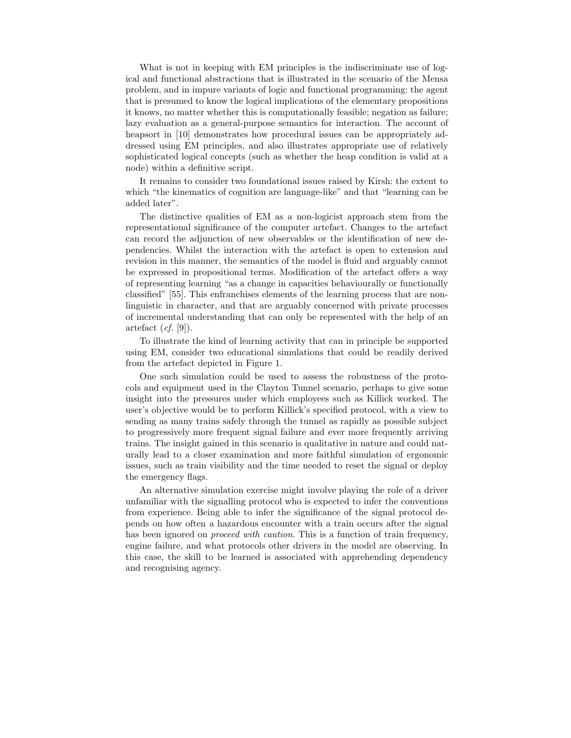What is not in keeping with EM principles is the indiscriminate use of logical and functional abstractions that is illustrated in the scenario of the Mensa problem, and in impure variants of logic and functional programming: the agent that is presumed to know the logical implications of the elementary propositions it knows, no matter whether this is computationally feasible; negation as failure; lazy evaluation as a general-purpose semantics for interaction. The account of heapsort in [10] demonstrates how procedural issues can be appropriately addressed using EM principles, and also illustrates appropriate use of relatively sophisticated logical concepts (such as whether the heap condition is valid at a node) within a definitive script.

It remains to consider two foundational issues raised by Kirsh: the extent to which "the kinematics of cognition are language-like" and that "learning can be added later".

The distinctive qualities of EM as a non-logicist approach stem from the representational significance of the computer artefact. Changes to the artefact can record the adjunction of new observables or the identification of new dependencies. Whilst the interaction with the artefact is open to extension and revision in this manner, the semantics of the model is fluid and arguably cannot be expressed in propositional terms. Modification of the artefact offers a way of representing learning "as a change in capacities behaviourally or functionally classified" [55]. This enfranchises elements of the learning process that are nonlinguistic in character, and that are arguably concerned with private processes of incremental understanding that can only be represented with the help of an artefact  $(cf. [9])$ .

To illustrate the kind of learning activity that can in principle be supported using EM, consider two educational simulations that could be readily derived from the artefact depicted in Figure 1.

One such simulation could be used to assess the robustness of the protocols and equipment used in the Clayton Tunnel scenario, perhaps to give some insight into the pressures under which employees such as Killick worked. The user's objective would be to perform Killick's specified protocol, with a view to sending as many trains safely through the tunnel as rapidly as possible subject to progressively more frequent signal failure and ever more frequently arriving trains. The insight gained in this scenario is qualitative in nature and could naturally lead to a closer examination and more faithful simulation of ergonomic issues, such as train visibility and the time needed to reset the signal or deploy the emergency flags.

An alternative simulation exercise might involve playing the role of a driver unfamiliar with the signalling protocol who is expected to infer the conventions from experience. Being able to infer the significance of the signal protocol depends on how often a hazardous encounter with a train occurs after the signal has been ignored on *proceed with caution*. This is a function of train frequency, engine failure, and what protocols other drivers in the model are observing. In this case, the skill to be learned is associated with apprehending dependency and recognising agency.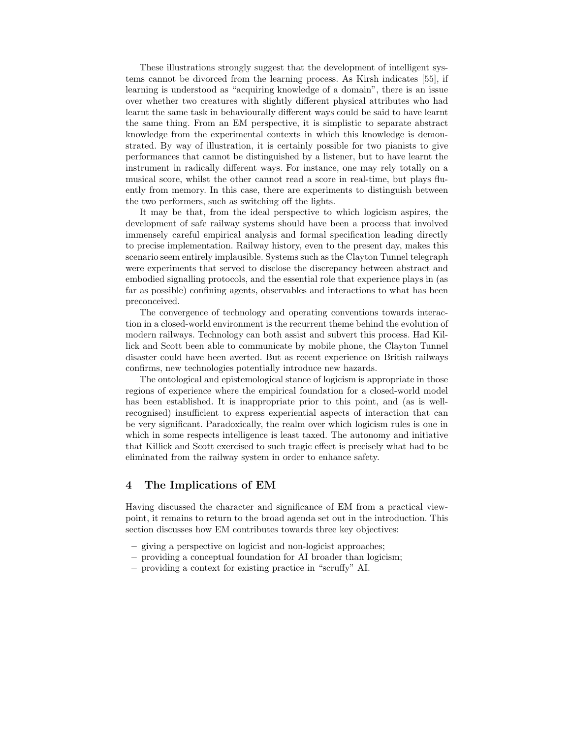These illustrations strongly suggest that the development of intelligent systems cannot be divorced from the learning process. As Kirsh indicates [55], if learning is understood as "acquiring knowledge of a domain", there is an issue over whether two creatures with slightly different physical attributes who had learnt the same task in behaviourally different ways could be said to have learnt the same thing. From an EM perspective, it is simplistic to separate abstract knowledge from the experimental contexts in which this knowledge is demonstrated. By way of illustration, it is certainly possible for two pianists to give performances that cannot be distinguished by a listener, but to have learnt the instrument in radically different ways. For instance, one may rely totally on a musical score, whilst the other cannot read a score in real-time, but plays fluently from memory. In this case, there are experiments to distinguish between the two performers, such as switching off the lights.

It may be that, from the ideal perspective to which logicism aspires, the development of safe railway systems should have been a process that involved immensely careful empirical analysis and formal specification leading directly to precise implementation. Railway history, even to the present day, makes this scenario seem entirely implausible. Systems such as the Clayton Tunnel telegraph were experiments that served to disclose the discrepancy between abstract and embodied signalling protocols, and the essential role that experience plays in (as far as possible) confining agents, observables and interactions to what has been preconceived.

The convergence of technology and operating conventions towards interaction in a closed-world environment is the recurrent theme behind the evolution of modern railways. Technology can both assist and subvert this process. Had Killick and Scott been able to communicate by mobile phone, the Clayton Tunnel disaster could have been averted. But as recent experience on British railways confirms, new technologies potentially introduce new hazards.

The ontological and epistemological stance of logicism is appropriate in those regions of experience where the empirical foundation for a closed-world model has been established. It is inappropriate prior to this point, and (as is wellrecognised) insufficient to express experiential aspects of interaction that can be very significant. Paradoxically, the realm over which logicism rules is one in which in some respects intelligence is least taxed. The autonomy and initiative that Killick and Scott exercised to such tragic effect is precisely what had to be eliminated from the railway system in order to enhance safety.

## 4 The Implications of EM

Having discussed the character and significance of EM from a practical viewpoint, it remains to return to the broad agenda set out in the introduction. This section discusses how EM contributes towards three key objectives:

- giving a perspective on logicist and non-logicist approaches;
- providing a conceptual foundation for AI broader than logicism;
- providing a context for existing practice in "scruffy" AI.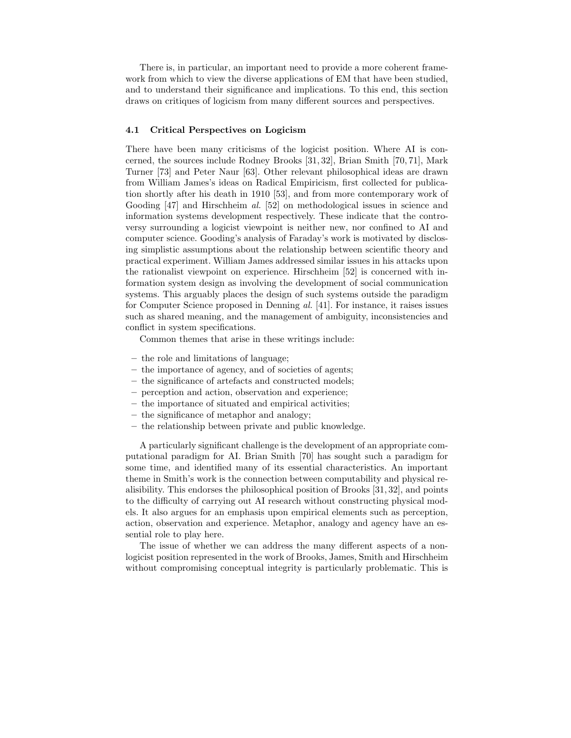There is, in particular, an important need to provide a more coherent framework from which to view the diverse applications of EM that have been studied, and to understand their significance and implications. To this end, this section draws on critiques of logicism from many different sources and perspectives.

#### 4.1 Critical Perspectives on Logicism

There have been many criticisms of the logicist position. Where AI is concerned, the sources include Rodney Brooks [31, 32], Brian Smith [70, 71], Mark Turner [73] and Peter Naur [63]. Other relevant philosophical ideas are drawn from William James's ideas on Radical Empiricism, first collected for publication shortly after his death in 1910 [53], and from more contemporary work of Gooding [47] and Hirschheim al. [52] on methodological issues in science and information systems development respectively. These indicate that the controversy surrounding a logicist viewpoint is neither new, nor confined to AI and computer science. Gooding's analysis of Faraday's work is motivated by disclosing simplistic assumptions about the relationship between scientific theory and practical experiment. William James addressed similar issues in his attacks upon the rationalist viewpoint on experience. Hirschheim [52] is concerned with information system design as involving the development of social communication systems. This arguably places the design of such systems outside the paradigm for Computer Science proposed in Denning al. [41]. For instance, it raises issues such as shared meaning, and the management of ambiguity, inconsistencies and conflict in system specifications.

Common themes that arise in these writings include:

- the role and limitations of language;
- the importance of agency, and of societies of agents;
- the significance of artefacts and constructed models;
- perception and action, observation and experience;
- the importance of situated and empirical activities;
- the significance of metaphor and analogy;
- the relationship between private and public knowledge.

A particularly significant challenge is the development of an appropriate computational paradigm for AI. Brian Smith [70] has sought such a paradigm for some time, and identified many of its essential characteristics. An important theme in Smith's work is the connection between computability and physical realisibility. This endorses the philosophical position of Brooks [31, 32], and points to the difficulty of carrying out AI research without constructing physical models. It also argues for an emphasis upon empirical elements such as perception, action, observation and experience. Metaphor, analogy and agency have an essential role to play here.

The issue of whether we can address the many different aspects of a nonlogicist position represented in the work of Brooks, James, Smith and Hirschheim without compromising conceptual integrity is particularly problematic. This is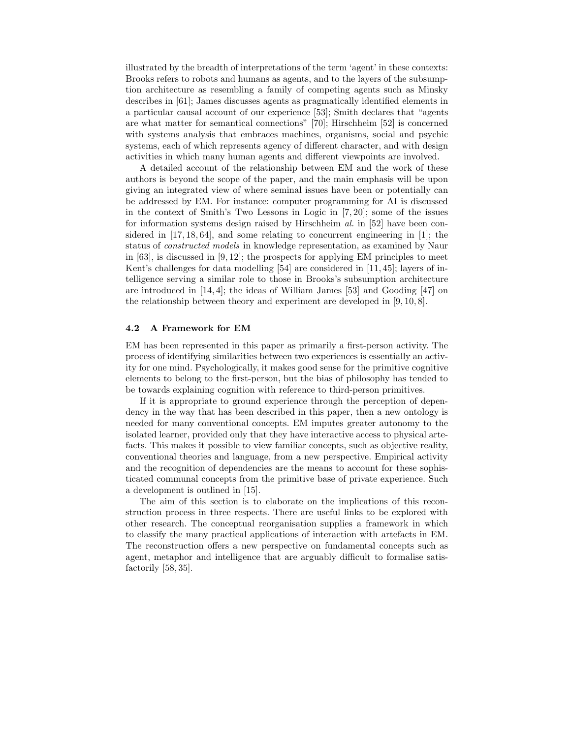illustrated by the breadth of interpretations of the term 'agent' in these contexts: Brooks refers to robots and humans as agents, and to the layers of the subsumption architecture as resembling a family of competing agents such as Minsky describes in [61]; James discusses agents as pragmatically identified elements in a particular causal account of our experience [53]; Smith declares that "agents are what matter for semantical connections" [70]; Hirschheim [52] is concerned with systems analysis that embraces machines, organisms, social and psychic systems, each of which represents agency of different character, and with design activities in which many human agents and different viewpoints are involved.

A detailed account of the relationship between EM and the work of these authors is beyond the scope of the paper, and the main emphasis will be upon giving an integrated view of where seminal issues have been or potentially can be addressed by EM. For instance: computer programming for AI is discussed in the context of Smith's Two Lessons in Logic in [7, 20]; some of the issues for information systems design raised by Hirschheim al. in [52] have been considered in [17, 18, 64], and some relating to concurrent engineering in [1]; the status of constructed models in knowledge representation, as examined by Naur in [63], is discussed in [9, 12]; the prospects for applying EM principles to meet Kent's challenges for data modelling [54] are considered in [11, 45]; layers of intelligence serving a similar role to those in Brooks's subsumption architecture are introduced in [14, 4]; the ideas of William James [53] and Gooding [47] on the relationship between theory and experiment are developed in [9, 10, 8].

#### 4.2 A Framework for EM

EM has been represented in this paper as primarily a first-person activity. The process of identifying similarities between two experiences is essentially an activity for one mind. Psychologically, it makes good sense for the primitive cognitive elements to belong to the first-person, but the bias of philosophy has tended to be towards explaining cognition with reference to third-person primitives.

If it is appropriate to ground experience through the perception of dependency in the way that has been described in this paper, then a new ontology is needed for many conventional concepts. EM imputes greater autonomy to the isolated learner, provided only that they have interactive access to physical artefacts. This makes it possible to view familiar concepts, such as objective reality, conventional theories and language, from a new perspective. Empirical activity and the recognition of dependencies are the means to account for these sophisticated communal concepts from the primitive base of private experience. Such a development is outlined in [15].

The aim of this section is to elaborate on the implications of this reconstruction process in three respects. There are useful links to be explored with other research. The conceptual reorganisation supplies a framework in which to classify the many practical applications of interaction with artefacts in EM. The reconstruction offers a new perspective on fundamental concepts such as agent, metaphor and intelligence that are arguably difficult to formalise satisfactorily [58, 35].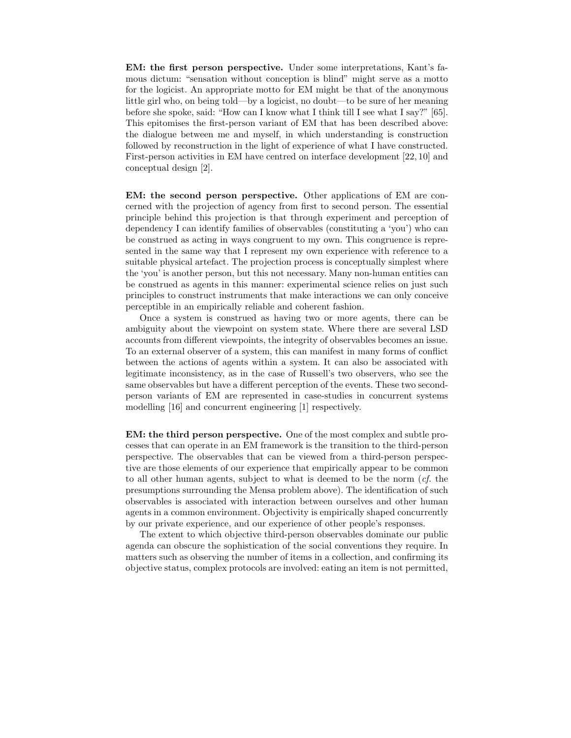EM: the first person perspective. Under some interpretations, Kant's famous dictum: "sensation without conception is blind" might serve as a motto for the logicist. An appropriate motto for EM might be that of the anonymous little girl who, on being told—by a logicist, no doubt—to be sure of her meaning before she spoke, said: "How can I know what I think till I see what I say?" [65]. This epitomises the first-person variant of EM that has been described above: the dialogue between me and myself, in which understanding is construction followed by reconstruction in the light of experience of what I have constructed. First-person activities in EM have centred on interface development [22, 10] and conceptual design [2].

EM: the second person perspective. Other applications of EM are concerned with the projection of agency from first to second person. The essential principle behind this projection is that through experiment and perception of dependency I can identify families of observables (constituting a 'you') who can be construed as acting in ways congruent to my own. This congruence is represented in the same way that I represent my own experience with reference to a suitable physical artefact. The projection process is conceptually simplest where the 'you' is another person, but this not necessary. Many non-human entities can be construed as agents in this manner: experimental science relies on just such principles to construct instruments that make interactions we can only conceive perceptible in an empirically reliable and coherent fashion.

Once a system is construed as having two or more agents, there can be ambiguity about the viewpoint on system state. Where there are several LSD accounts from different viewpoints, the integrity of observables becomes an issue. To an external observer of a system, this can manifest in many forms of conflict between the actions of agents within a system. It can also be associated with legitimate inconsistency, as in the case of Russell's two observers, who see the same observables but have a different perception of the events. These two secondperson variants of EM are represented in case-studies in concurrent systems modelling [16] and concurrent engineering [1] respectively.

EM: the third person perspective. One of the most complex and subtle processes that can operate in an EM framework is the transition to the third-person perspective. The observables that can be viewed from a third-person perspective are those elements of our experience that empirically appear to be common to all other human agents, subject to what is deemed to be the norm (cf. the presumptions surrounding the Mensa problem above). The identification of such observables is associated with interaction between ourselves and other human agents in a common environment. Objectivity is empirically shaped concurrently by our private experience, and our experience of other people's responses.

The extent to which objective third-person observables dominate our public agenda can obscure the sophistication of the social conventions they require. In matters such as observing the number of items in a collection, and confirming its objective status, complex protocols are involved: eating an item is not permitted,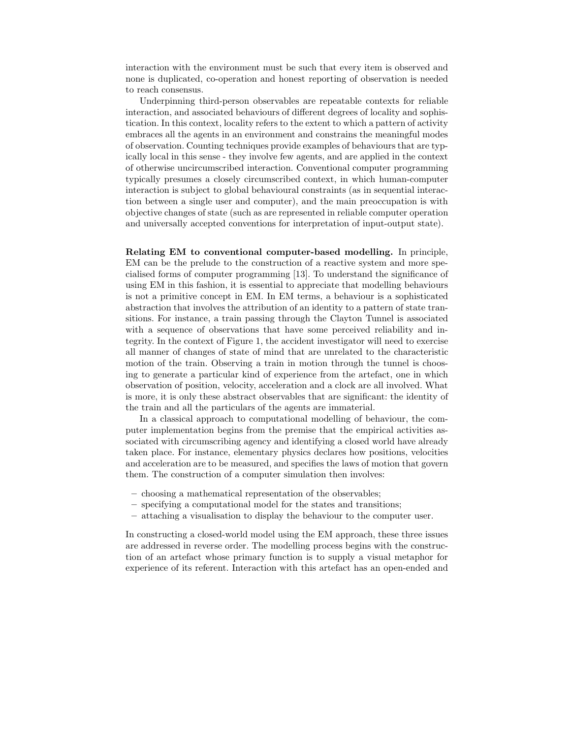interaction with the environment must be such that every item is observed and none is duplicated, co-operation and honest reporting of observation is needed to reach consensus.

Underpinning third-person observables are repeatable contexts for reliable interaction, and associated behaviours of different degrees of locality and sophistication. In this context, locality refers to the extent to which a pattern of activity embraces all the agents in an environment and constrains the meaningful modes of observation. Counting techniques provide examples of behaviours that are typically local in this sense - they involve few agents, and are applied in the context of otherwise uncircumscribed interaction. Conventional computer programming typically presumes a closely circumscribed context, in which human-computer interaction is subject to global behavioural constraints (as in sequential interaction between a single user and computer), and the main preoccupation is with objective changes of state (such as are represented in reliable computer operation and universally accepted conventions for interpretation of input-output state).

Relating EM to conventional computer-based modelling. In principle, EM can be the prelude to the construction of a reactive system and more specialised forms of computer programming [13]. To understand the significance of using EM in this fashion, it is essential to appreciate that modelling behaviours is not a primitive concept in EM. In EM terms, a behaviour is a sophisticated abstraction that involves the attribution of an identity to a pattern of state transitions. For instance, a train passing through the Clayton Tunnel is associated with a sequence of observations that have some perceived reliability and integrity. In the context of Figure 1, the accident investigator will need to exercise all manner of changes of state of mind that are unrelated to the characteristic motion of the train. Observing a train in motion through the tunnel is choosing to generate a particular kind of experience from the artefact, one in which observation of position, velocity, acceleration and a clock are all involved. What is more, it is only these abstract observables that are significant: the identity of the train and all the particulars of the agents are immaterial.

In a classical approach to computational modelling of behaviour, the computer implementation begins from the premise that the empirical activities associated with circumscribing agency and identifying a closed world have already taken place. For instance, elementary physics declares how positions, velocities and acceleration are to be measured, and specifies the laws of motion that govern them. The construction of a computer simulation then involves:

- choosing a mathematical representation of the observables;
- specifying a computational model for the states and transitions;
- attaching a visualisation to display the behaviour to the computer user.

In constructing a closed-world model using the EM approach, these three issues are addressed in reverse order. The modelling process begins with the construction of an artefact whose primary function is to supply a visual metaphor for experience of its referent. Interaction with this artefact has an open-ended and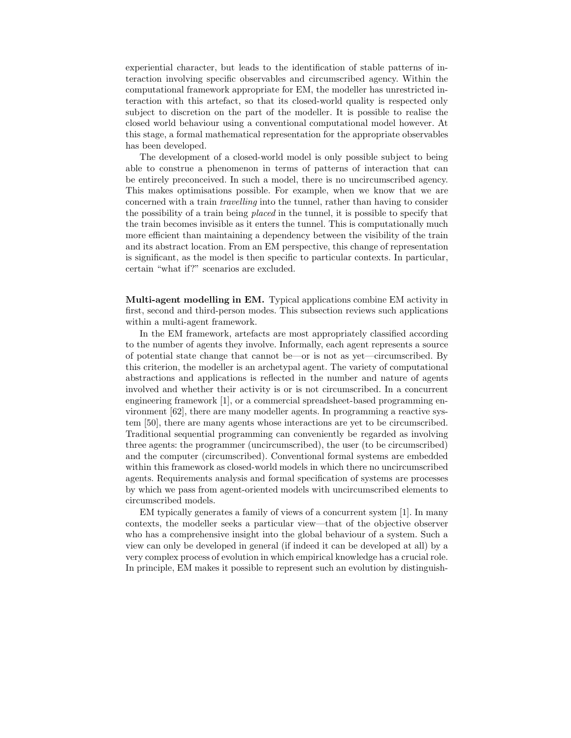experiential character, but leads to the identification of stable patterns of interaction involving specific observables and circumscribed agency. Within the computational framework appropriate for EM, the modeller has unrestricted interaction with this artefact, so that its closed-world quality is respected only subject to discretion on the part of the modeller. It is possible to realise the closed world behaviour using a conventional computational model however. At this stage, a formal mathematical representation for the appropriate observables has been developed.

The development of a closed-world model is only possible subject to being able to construe a phenomenon in terms of patterns of interaction that can be entirely preconceived. In such a model, there is no uncircumscribed agency. This makes optimisations possible. For example, when we know that we are concerned with a train travelling into the tunnel, rather than having to consider the possibility of a train being placed in the tunnel, it is possible to specify that the train becomes invisible as it enters the tunnel. This is computationally much more efficient than maintaining a dependency between the visibility of the train and its abstract location. From an EM perspective, this change of representation is significant, as the model is then specific to particular contexts. In particular, certain "what if?" scenarios are excluded.

Multi-agent modelling in EM. Typical applications combine EM activity in first, second and third-person modes. This subsection reviews such applications within a multi-agent framework.

In the EM framework, artefacts are most appropriately classified according to the number of agents they involve. Informally, each agent represents a source of potential state change that cannot be—or is not as yet—circumscribed. By this criterion, the modeller is an archetypal agent. The variety of computational abstractions and applications is reflected in the number and nature of agents involved and whether their activity is or is not circumscribed. In a concurrent engineering framework [1], or a commercial spreadsheet-based programming environment [62], there are many modeller agents. In programming a reactive system [50], there are many agents whose interactions are yet to be circumscribed. Traditional sequential programming can conveniently be regarded as involving three agents: the programmer (uncircumscribed), the user (to be circumscribed) and the computer (circumscribed). Conventional formal systems are embedded within this framework as closed-world models in which there no uncircumscribed agents. Requirements analysis and formal specification of systems are processes by which we pass from agent-oriented models with uncircumscribed elements to circumscribed models.

EM typically generates a family of views of a concurrent system [1]. In many contexts, the modeller seeks a particular view—that of the objective observer who has a comprehensive insight into the global behaviour of a system. Such a view can only be developed in general (if indeed it can be developed at all) by a very complex process of evolution in which empirical knowledge has a crucial role. In principle, EM makes it possible to represent such an evolution by distinguish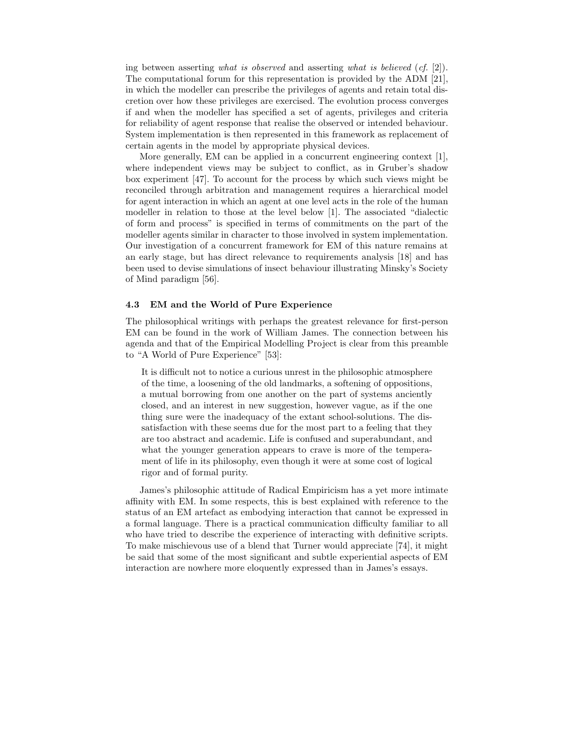ing between asserting what is observed and asserting what is believed  $(cf. [2])$ . The computational forum for this representation is provided by the ADM [21], in which the modeller can prescribe the privileges of agents and retain total discretion over how these privileges are exercised. The evolution process converges if and when the modeller has specified a set of agents, privileges and criteria for reliability of agent response that realise the observed or intended behaviour. System implementation is then represented in this framework as replacement of certain agents in the model by appropriate physical devices.

More generally, EM can be applied in a concurrent engineering context [1], where independent views may be subject to conflict, as in Gruber's shadow box experiment [47]. To account for the process by which such views might be reconciled through arbitration and management requires a hierarchical model for agent interaction in which an agent at one level acts in the role of the human modeller in relation to those at the level below [1]. The associated "dialectic of form and process" is specified in terms of commitments on the part of the modeller agents similar in character to those involved in system implementation. Our investigation of a concurrent framework for EM of this nature remains at an early stage, but has direct relevance to requirements analysis [18] and has been used to devise simulations of insect behaviour illustrating Minsky's Society of Mind paradigm [56].

#### 4.3 EM and the World of Pure Experience

The philosophical writings with perhaps the greatest relevance for first-person EM can be found in the work of William James. The connection between his agenda and that of the Empirical Modelling Project is clear from this preamble to "A World of Pure Experience" [53]:

It is difficult not to notice a curious unrest in the philosophic atmosphere of the time, a loosening of the old landmarks, a softening of oppositions, a mutual borrowing from one another on the part of systems anciently closed, and an interest in new suggestion, however vague, as if the one thing sure were the inadequacy of the extant school-solutions. The dissatisfaction with these seems due for the most part to a feeling that they are too abstract and academic. Life is confused and superabundant, and what the younger generation appears to crave is more of the temperament of life in its philosophy, even though it were at some cost of logical rigor and of formal purity.

James's philosophic attitude of Radical Empiricism has a yet more intimate affinity with EM. In some respects, this is best explained with reference to the status of an EM artefact as embodying interaction that cannot be expressed in a formal language. There is a practical communication difficulty familiar to all who have tried to describe the experience of interacting with definitive scripts. To make mischievous use of a blend that Turner would appreciate [74], it might be said that some of the most significant and subtle experiential aspects of EM interaction are nowhere more eloquently expressed than in James's essays.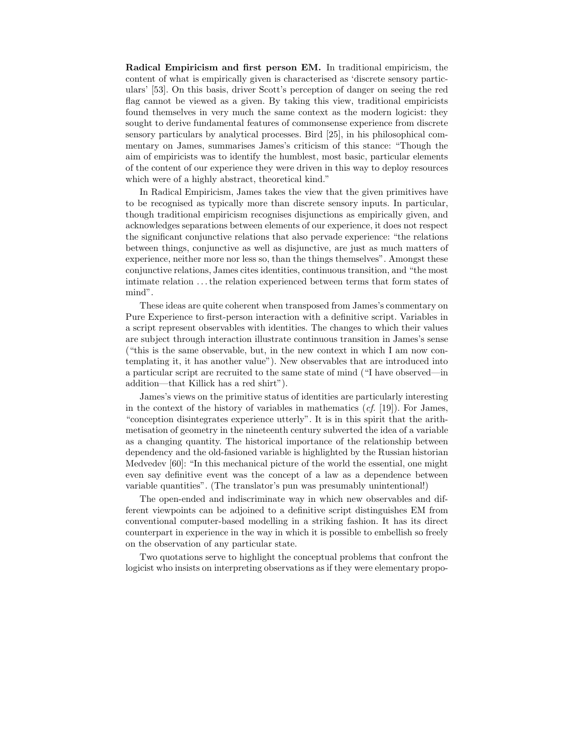Radical Empiricism and first person EM. In traditional empiricism, the content of what is empirically given is characterised as 'discrete sensory particulars' [53]. On this basis, driver Scott's perception of danger on seeing the red flag cannot be viewed as a given. By taking this view, traditional empiricists found themselves in very much the same context as the modern logicist: they sought to derive fundamental features of commonsense experience from discrete sensory particulars by analytical processes. Bird [25], in his philosophical commentary on James, summarises James's criticism of this stance: "Though the aim of empiricists was to identify the humblest, most basic, particular elements of the content of our experience they were driven in this way to deploy resources which were of a highly abstract, theoretical kind."

In Radical Empiricism, James takes the view that the given primitives have to be recognised as typically more than discrete sensory inputs. In particular, though traditional empiricism recognises disjunctions as empirically given, and acknowledges separations between elements of our experience, it does not respect the significant conjunctive relations that also pervade experience: "the relations between things, conjunctive as well as disjunctive, are just as much matters of experience, neither more nor less so, than the things themselves". Amongst these conjunctive relations, James cites identities, continuous transition, and "the most intimate relation . . . the relation experienced between terms that form states of mind".

These ideas are quite coherent when transposed from James's commentary on Pure Experience to first-person interaction with a definitive script. Variables in a script represent observables with identities. The changes to which their values are subject through interaction illustrate continuous transition in James's sense ("this is the same observable, but, in the new context in which I am now contemplating it, it has another value"). New observables that are introduced into a particular script are recruited to the same state of mind ("I have observed—in addition—that Killick has a red shirt").

James's views on the primitive status of identities are particularly interesting in the context of the history of variables in mathematics  $(cf. [19])$ . For James, "conception disintegrates experience utterly". It is in this spirit that the arithmetisation of geometry in the nineteenth century subverted the idea of a variable as a changing quantity. The historical importance of the relationship between dependency and the old-fasioned variable is highlighted by the Russian historian Medvedev [60]: "In this mechanical picture of the world the essential, one might even say definitive event was the concept of a law as a dependence between variable quantities". (The translator's pun was presumably unintentional!)

The open-ended and indiscriminate way in which new observables and different viewpoints can be adjoined to a definitive script distinguishes EM from conventional computer-based modelling in a striking fashion. It has its direct counterpart in experience in the way in which it is possible to embellish so freely on the observation of any particular state.

Two quotations serve to highlight the conceptual problems that confront the logicist who insists on interpreting observations as if they were elementary propo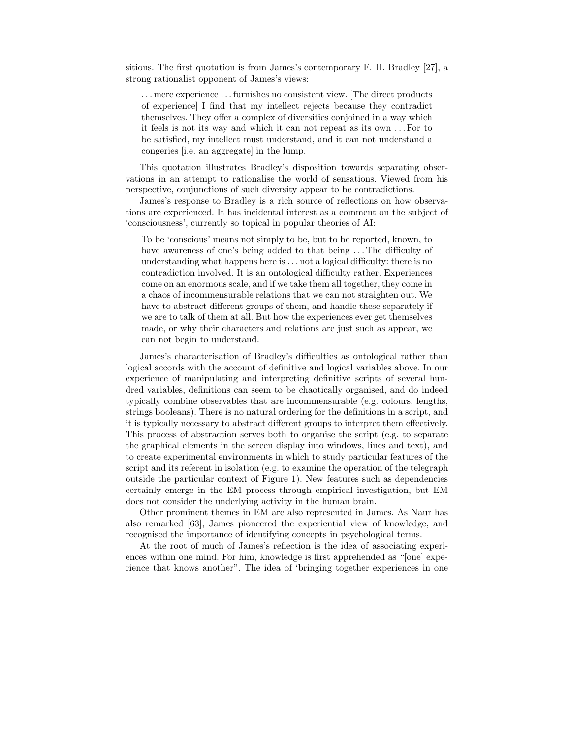sitions. The first quotation is from James's contemporary F. H. Bradley [27], a strong rationalist opponent of James's views:

. . . mere experience . . . furnishes no consistent view. [The direct products of experience] I find that my intellect rejects because they contradict themselves. They offer a complex of diversities conjoined in a way which it feels is not its way and which it can not repeat as its own . . .For to be satisfied, my intellect must understand, and it can not understand a congeries [i.e. an aggregate] in the lump.

This quotation illustrates Bradley's disposition towards separating observations in an attempt to rationalise the world of sensations. Viewed from his perspective, conjunctions of such diversity appear to be contradictions.

James's response to Bradley is a rich source of reflections on how observations are experienced. It has incidental interest as a comment on the subject of 'consciousness', currently so topical in popular theories of AI:

To be 'conscious' means not simply to be, but to be reported, known, to have awareness of one's being added to that being ... The difficulty of understanding what happens here is . . . not a logical difficulty: there is no contradiction involved. It is an ontological difficulty rather. Experiences come on an enormous scale, and if we take them all together, they come in a chaos of incommensurable relations that we can not straighten out. We have to abstract different groups of them, and handle these separately if we are to talk of them at all. But how the experiences ever get themselves made, or why their characters and relations are just such as appear, we can not begin to understand.

James's characterisation of Bradley's difficulties as ontological rather than logical accords with the account of definitive and logical variables above. In our experience of manipulating and interpreting definitive scripts of several hundred variables, definitions can seem to be chaotically organised, and do indeed typically combine observables that are incommensurable (e.g. colours, lengths, strings booleans). There is no natural ordering for the definitions in a script, and it is typically necessary to abstract different groups to interpret them effectively. This process of abstraction serves both to organise the script (e.g. to separate the graphical elements in the screen display into windows, lines and text), and to create experimental environments in which to study particular features of the script and its referent in isolation (e.g. to examine the operation of the telegraph outside the particular context of Figure 1). New features such as dependencies certainly emerge in the EM process through empirical investigation, but EM does not consider the underlying activity in the human brain.

Other prominent themes in EM are also represented in James. As Naur has also remarked [63], James pioneered the experiential view of knowledge, and recognised the importance of identifying concepts in psychological terms.

At the root of much of James's reflection is the idea of associating experiences within one mind. For him, knowledge is first apprehended as "[one] experience that knows another". The idea of 'bringing together experiences in one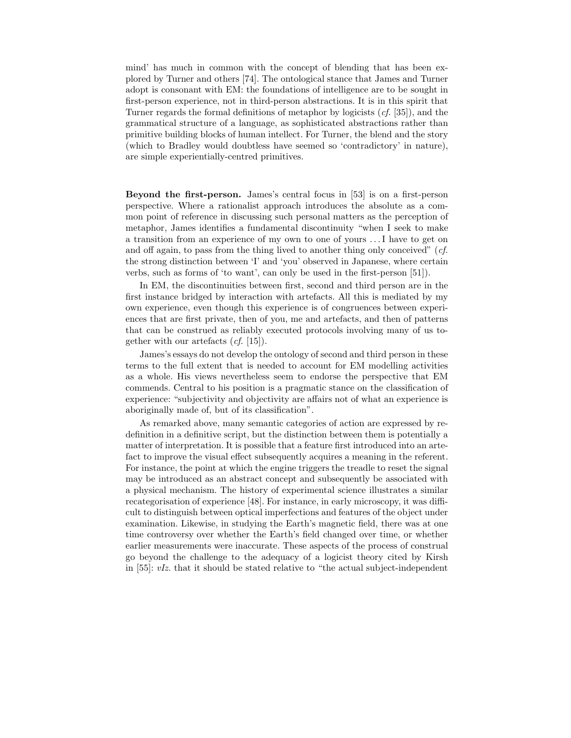mind' has much in common with the concept of blending that has been explored by Turner and others [74]. The ontological stance that James and Turner adopt is consonant with EM: the foundations of intelligence are to be sought in first-person experience, not in third-person abstractions. It is in this spirit that Turner regards the formal definitions of metaphor by logicists (cf. [35]), and the grammatical structure of a language, as sophisticated abstractions rather than primitive building blocks of human intellect. For Turner, the blend and the story (which to Bradley would doubtless have seemed so 'contradictory' in nature), are simple experientially-centred primitives.

Beyond the first-person. James's central focus in [53] is on a first-person perspective. Where a rationalist approach introduces the absolute as a common point of reference in discussing such personal matters as the perception of metaphor, James identifies a fundamental discontinuity "when I seek to make a transition from an experience of my own to one of yours . . . I have to get on and off again, to pass from the thing lived to another thing only conceived"  $(cf.$ the strong distinction between 'I' and 'you' observed in Japanese, where certain verbs, such as forms of 'to want', can only be used in the first-person [51]).

In EM, the discontinuities between first, second and third person are in the first instance bridged by interaction with artefacts. All this is mediated by my own experience, even though this experience is of congruences between experiences that are first private, then of you, me and artefacts, and then of patterns that can be construed as reliably executed protocols involving many of us together with our artefacts  $(cf. [15])$ .

James's essays do not develop the ontology of second and third person in these terms to the full extent that is needed to account for EM modelling activities as a whole. His views nevertheless seem to endorse the perspective that EM commends. Central to his position is a pragmatic stance on the classification of experience: "subjectivity and objectivity are affairs not of what an experience is aboriginally made of, but of its classification".

As remarked above, many semantic categories of action are expressed by redefinition in a definitive script, but the distinction between them is potentially a matter of interpretation. It is possible that a feature first introduced into an artefact to improve the visual effect subsequently acquires a meaning in the referent. For instance, the point at which the engine triggers the treadle to reset the signal may be introduced as an abstract concept and subsequently be associated with a physical mechanism. The history of experimental science illustrates a similar recategorisation of experience [48]. For instance, in early microscopy, it was difficult to distinguish between optical imperfections and features of the object under examination. Likewise, in studying the Earth's magnetic field, there was at one time controversy over whether the Earth's field changed over time, or whether earlier measurements were inaccurate. These aspects of the process of construal go beyond the challenge to the adequacy of a logicist theory cited by Kirsh in  $[55]$ :  $vIz$ , that it should be stated relative to "the actual subject-independent"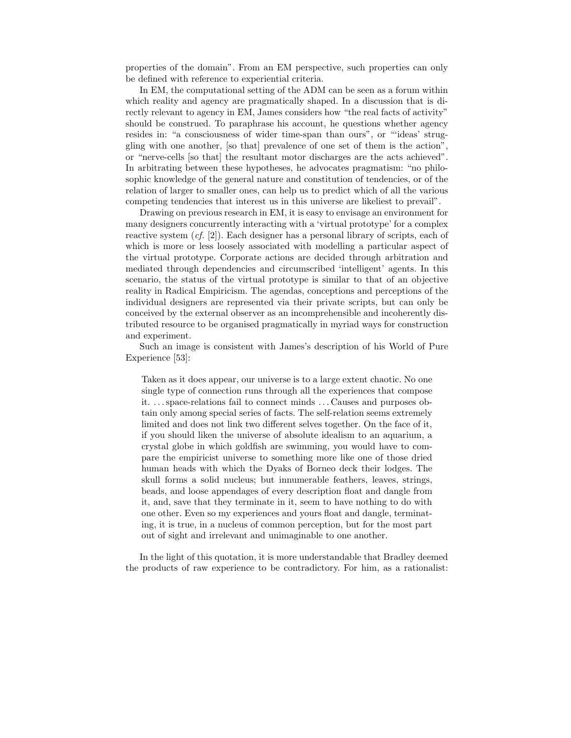properties of the domain". From an EM perspective, such properties can only be defined with reference to experiential criteria.

In EM, the computational setting of the ADM can be seen as a forum within which reality and agency are pragmatically shaped. In a discussion that is directly relevant to agency in EM, James considers how "the real facts of activity" should be construed. To paraphrase his account, he questions whether agency resides in: "a consciousness of wider time-span than ours", or "'ideas' struggling with one another, [so that] prevalence of one set of them is the action", or "nerve-cells [so that] the resultant motor discharges are the acts achieved". In arbitrating between these hypotheses, he advocates pragmatism: "no philosophic knowledge of the general nature and constitution of tendencies, or of the relation of larger to smaller ones, can help us to predict which of all the various competing tendencies that interest us in this universe are likeliest to prevail".

Drawing on previous research in EM, it is easy to envisage an environment for many designers concurrently interacting with a 'virtual prototype' for a complex reactive system (cf. [2]). Each designer has a personal library of scripts, each of which is more or less loosely associated with modelling a particular aspect of the virtual prototype. Corporate actions are decided through arbitration and mediated through dependencies and circumscribed 'intelligent' agents. In this scenario, the status of the virtual prototype is similar to that of an objective reality in Radical Empiricism. The agendas, conceptions and perceptions of the individual designers are represented via their private scripts, but can only be conceived by the external observer as an incomprehensible and incoherently distributed resource to be organised pragmatically in myriad ways for construction and experiment.

Such an image is consistent with James's description of his World of Pure Experience [53]:

Taken as it does appear, our universe is to a large extent chaotic. No one single type of connection runs through all the experiences that compose it. . . . space-relations fail to connect minds . . . Causes and purposes obtain only among special series of facts. The self-relation seems extremely limited and does not link two different selves together. On the face of it, if you should liken the universe of absolute idealism to an aquarium, a crystal globe in which goldfish are swimming, you would have to compare the empiricist universe to something more like one of those dried human heads with which the Dyaks of Borneo deck their lodges. The skull forms a solid nucleus; but innumerable feathers, leaves, strings, beads, and loose appendages of every description float and dangle from it, and, save that they terminate in it, seem to have nothing to do with one other. Even so my experiences and yours float and dangle, terminating, it is true, in a nucleus of common perception, but for the most part out of sight and irrelevant and unimaginable to one another.

In the light of this quotation, it is more understandable that Bradley deemed the products of raw experience to be contradictory. For him, as a rationalist: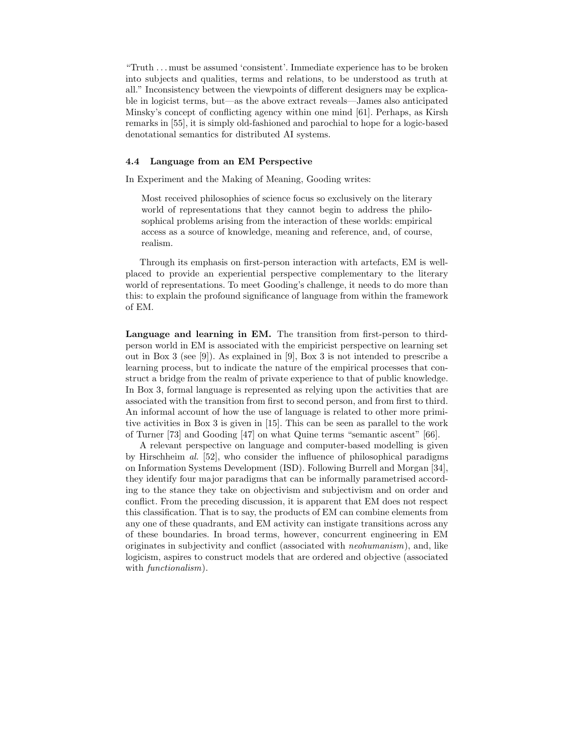"Truth . . . must be assumed 'consistent'. Immediate experience has to be broken into subjects and qualities, terms and relations, to be understood as truth at all." Inconsistency between the viewpoints of different designers may be explicable in logicist terms, but—as the above extract reveals—James also anticipated Minsky's concept of conflicting agency within one mind [61]. Perhaps, as Kirsh remarks in [55], it is simply old-fashioned and parochial to hope for a logic-based denotational semantics for distributed AI systems.

#### 4.4 Language from an EM Perspective

In Experiment and the Making of Meaning, Gooding writes:

Most received philosophies of science focus so exclusively on the literary world of representations that they cannot begin to address the philosophical problems arising from the interaction of these worlds: empirical access as a source of knowledge, meaning and reference, and, of course, realism.

Through its emphasis on first-person interaction with artefacts, EM is wellplaced to provide an experiential perspective complementary to the literary world of representations. To meet Gooding's challenge, it needs to do more than this: to explain the profound significance of language from within the framework of EM.

Language and learning in EM. The transition from first-person to thirdperson world in EM is associated with the empiricist perspective on learning set out in Box 3 (see [9]). As explained in [9], Box 3 is not intended to prescribe a learning process, but to indicate the nature of the empirical processes that construct a bridge from the realm of private experience to that of public knowledge. In Box 3, formal language is represented as relying upon the activities that are associated with the transition from first to second person, and from first to third. An informal account of how the use of language is related to other more primitive activities in Box 3 is given in [15]. This can be seen as parallel to the work of Turner [73] and Gooding [47] on what Quine terms "semantic ascent" [66].

A relevant perspective on language and computer-based modelling is given by Hirschheim al. [52], who consider the influence of philosophical paradigms on Information Systems Development (ISD). Following Burrell and Morgan [34], they identify four major paradigms that can be informally parametrised according to the stance they take on objectivism and subjectivism and on order and conflict. From the preceding discussion, it is apparent that EM does not respect this classification. That is to say, the products of EM can combine elements from any one of these quadrants, and EM activity can instigate transitions across any of these boundaries. In broad terms, however, concurrent engineering in EM originates in subjectivity and conflict (associated with *neohumanism*), and, like logicism, aspires to construct models that are ordered and objective (associated with *functionalism*).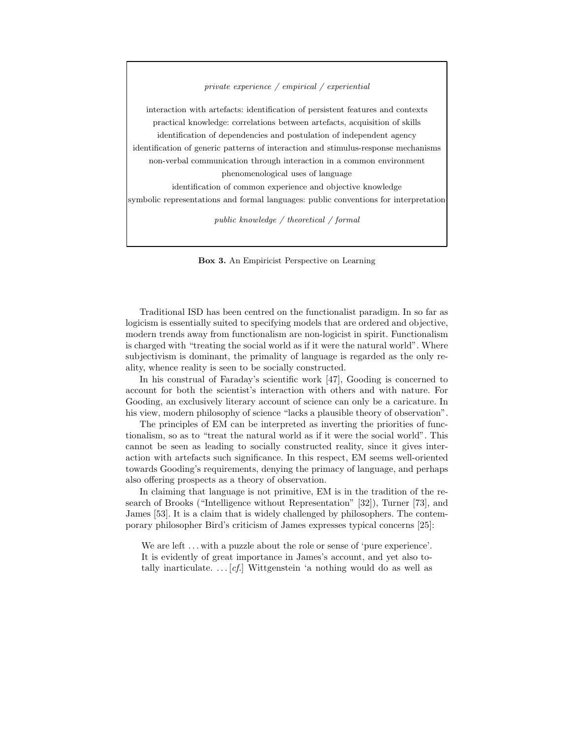private experience / empirical / experiential interaction with artefacts: identification of persistent features and contexts practical knowledge: correlations between artefacts, acquisition of skills identification of dependencies and postulation of independent agency identification of generic patterns of interaction and stimulus-response mechanisms non-verbal communication through interaction in a common environment phenomenological uses of language identification of common experience and objective knowledge symbolic representations and formal languages: public conventions for interpretation public knowledge / theoretical / formal

Box 3. An Empiricist Perspective on Learning

Traditional ISD has been centred on the functionalist paradigm. In so far as logicism is essentially suited to specifying models that are ordered and objective, modern trends away from functionalism are non-logicist in spirit. Functionalism is charged with "treating the social world as if it were the natural world". Where subjectivism is dominant, the primality of language is regarded as the only reality, whence reality is seen to be socially constructed.

In his construal of Faraday's scientific work [47], Gooding is concerned to account for both the scientist's interaction with others and with nature. For Gooding, an exclusively literary account of science can only be a caricature. In his view, modern philosophy of science "lacks a plausible theory of observation".

The principles of EM can be interpreted as inverting the priorities of functionalism, so as to "treat the natural world as if it were the social world". This cannot be seen as leading to socially constructed reality, since it gives interaction with artefacts such significance. In this respect, EM seems well-oriented towards Gooding's requirements, denying the primacy of language, and perhaps also offering prospects as a theory of observation.

In claiming that language is not primitive, EM is in the tradition of the research of Brooks ("Intelligence without Representation" [32]), Turner [73], and James [53]. It is a claim that is widely challenged by philosophers. The contemporary philosopher Bird's criticism of James expresses typical concerns [25]:

We are left ... with a puzzle about the role or sense of 'pure experience'. It is evidently of great importance in James's account, and yet also totally inarticulate.  $\ldots$  [cf.] Wittgenstein 'a nothing would do as well as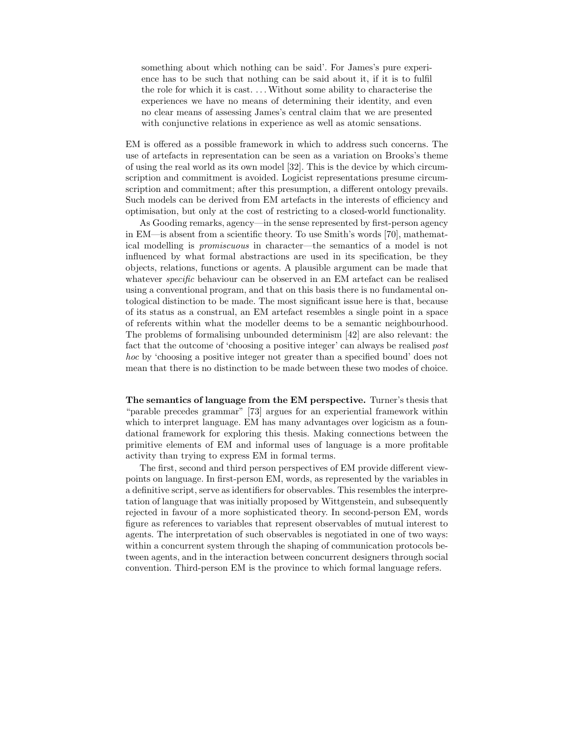something about which nothing can be said'. For James's pure experience has to be such that nothing can be said about it, if it is to fulfil the role for which it is cast. . . .Without some ability to characterise the experiences we have no means of determining their identity, and even no clear means of assessing James's central claim that we are presented with conjunctive relations in experience as well as atomic sensations.

EM is offered as a possible framework in which to address such concerns. The use of artefacts in representation can be seen as a variation on Brooks's theme of using the real world as its own model [32]. This is the device by which circumscription and commitment is avoided. Logicist representations presume circumscription and commitment; after this presumption, a different ontology prevails. Such models can be derived from EM artefacts in the interests of efficiency and optimisation, but only at the cost of restricting to a closed-world functionality.

As Gooding remarks, agency—in the sense represented by first-person agency in EM—is absent from a scientific theory. To use Smith's words [70], mathematical modelling is promiscuous in character—the semantics of a model is not influenced by what formal abstractions are used in its specification, be they objects, relations, functions or agents. A plausible argument can be made that whatever *specific* behaviour can be observed in an EM artefact can be realised using a conventional program, and that on this basis there is no fundamental ontological distinction to be made. The most significant issue here is that, because of its status as a construal, an EM artefact resembles a single point in a space of referents within what the modeller deems to be a semantic neighbourhood. The problems of formalising unbounded determinism [42] are also relevant: the fact that the outcome of 'choosing a positive integer' can always be realised post hoc by 'choosing a positive integer not greater than a specified bound' does not mean that there is no distinction to be made between these two modes of choice.

The semantics of language from the EM perspective. Turner's thesis that "parable precedes grammar" [73] argues for an experiential framework within which to interpret language. EM has many advantages over logicism as a foundational framework for exploring this thesis. Making connections between the primitive elements of EM and informal uses of language is a more profitable activity than trying to express EM in formal terms.

The first, second and third person perspectives of EM provide different viewpoints on language. In first-person EM, words, as represented by the variables in a definitive script, serve as identifiers for observables. This resembles the interpretation of language that was initially proposed by Wittgenstein, and subsequently rejected in favour of a more sophisticated theory. In second-person EM, words figure as references to variables that represent observables of mutual interest to agents. The interpretation of such observables is negotiated in one of two ways: within a concurrent system through the shaping of communication protocols between agents, and in the interaction between concurrent designers through social convention. Third-person EM is the province to which formal language refers.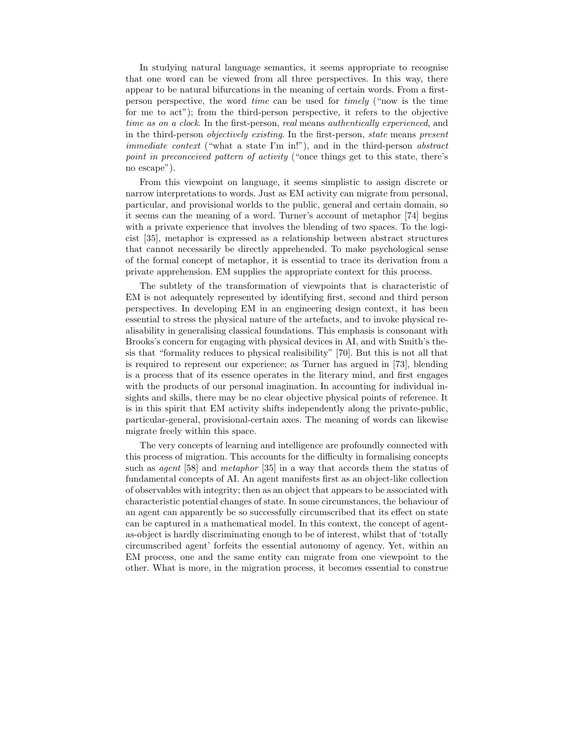In studying natural language semantics, it seems appropriate to recognise that one word can be viewed from all three perspectives. In this way, there appear to be natural bifurcations in the meaning of certain words. From a firstperson perspective, the word time can be used for timely ("now is the time for me to act"); from the third-person perspective, it refers to the objective time as on a clock. In the first-person, real means authentically experienced, and in the third-person objectively existing. In the first-person, state means present immediate context ("what a state I'm in!"), and in the third-person abstract point in preconceived pattern of activity ("once things get to this state, there's no escape").

From this viewpoint on language, it seems simplistic to assign discrete or narrow interpretations to words. Just as EM activity can migrate from personal, particular, and provisional worlds to the public, general and certain domain, so it seems can the meaning of a word. Turner's account of metaphor [74] begins with a private experience that involves the blending of two spaces. To the logicist [35], metaphor is expressed as a relationship between abstract structures that cannot necessarily be directly apprehended. To make psychological sense of the formal concept of metaphor, it is essential to trace its derivation from a private apprehension. EM supplies the appropriate context for this process.

The subtlety of the transformation of viewpoints that is characteristic of EM is not adequately represented by identifying first, second and third person perspectives. In developing EM in an engineering design context, it has been essential to stress the physical nature of the artefacts, and to invoke physical realisability in generalising classical foundations. This emphasis is consonant with Brooks's concern for engaging with physical devices in AI, and with Smith's thesis that "formality reduces to physical realisibility" [70]. But this is not all that is required to represent our experience; as Turner has argued in [73], blending is a process that of its essence operates in the literary mind, and first engages with the products of our personal imagination. In accounting for individual insights and skills, there may be no clear objective physical points of reference. It is in this spirit that EM activity shifts independently along the private-public, particular-general, provisional-certain axes. The meaning of words can likewise migrate freely within this space.

The very concepts of learning and intelligence are profoundly connected with this process of migration. This accounts for the difficulty in formalising concepts such as *agent* [58] and *metaphor* [35] in a way that accords them the status of fundamental concepts of AI. An agent manifests first as an object-like collection of observables with integrity; then as an object that appears to be associated with characteristic potential changes of state. In some circumstances, the behaviour of an agent can apparently be so successfully circumscribed that its effect on state can be captured in a mathematical model. In this context, the concept of agentas-object is hardly discriminating enough to be of interest, whilst that of 'totally circumscribed agent' forfeits the essential autonomy of agency. Yet, within an EM process, one and the same entity can migrate from one viewpoint to the other. What is more, in the migration process, it becomes essential to construe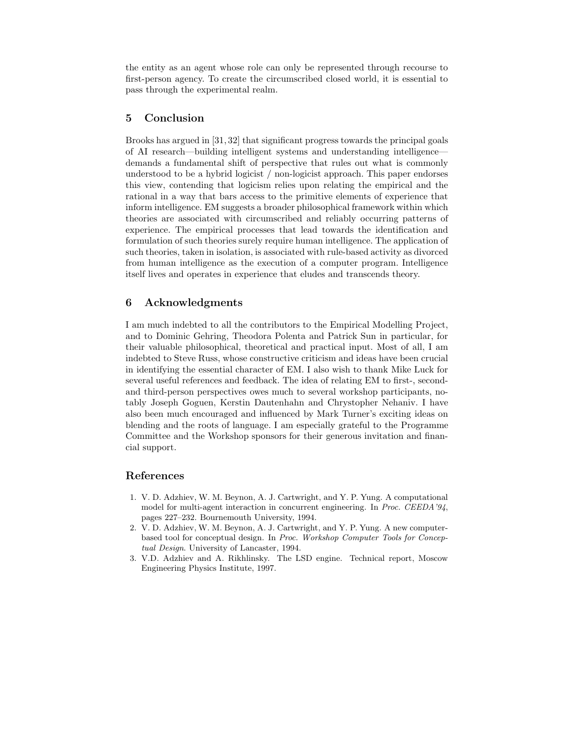the entity as an agent whose role can only be represented through recourse to first-person agency. To create the circumscribed closed world, it is essential to pass through the experimental realm.

## 5 Conclusion

Brooks has argued in [31, 32] that significant progress towards the principal goals of AI research—building intelligent systems and understanding intelligence demands a fundamental shift of perspective that rules out what is commonly understood to be a hybrid logicist / non-logicist approach. This paper endorses this view, contending that logicism relies upon relating the empirical and the rational in a way that bars access to the primitive elements of experience that inform intelligence. EM suggests a broader philosophical framework within which theories are associated with circumscribed and reliably occurring patterns of experience. The empirical processes that lead towards the identification and formulation of such theories surely require human intelligence. The application of such theories, taken in isolation, is associated with rule-based activity as divorced from human intelligence as the execution of a computer program. Intelligence itself lives and operates in experience that eludes and transcends theory.

## 6 Acknowledgments

I am much indebted to all the contributors to the Empirical Modelling Project, and to Dominic Gehring, Theodora Polenta and Patrick Sun in particular, for their valuable philosophical, theoretical and practical input. Most of all, I am indebted to Steve Russ, whose constructive criticism and ideas have been crucial in identifying the essential character of EM. I also wish to thank Mike Luck for several useful references and feedback. The idea of relating EM to first-, secondand third-person perspectives owes much to several workshop participants, notably Joseph Goguen, Kerstin Dautenhahn and Chrystopher Nehaniv. I have also been much encouraged and influenced by Mark Turner's exciting ideas on blending and the roots of language. I am especially grateful to the Programme Committee and the Workshop sponsors for their generous invitation and financial support.

## References

- 1. V. D. Adzhiev, W. M. Beynon, A. J. Cartwright, and Y. P. Yung. A computational model for multi-agent interaction in concurrent engineering. In Proc. CEEDA'94, pages 227–232. Bournemouth University, 1994.
- 2. V. D. Adzhiev, W. M. Beynon, A. J. Cartwright, and Y. P. Yung. A new computerbased tool for conceptual design. In Proc. Workshop Computer Tools for Conceptual Design. University of Lancaster, 1994.
- 3. V.D. Adzhiev and A. Rikhlinsky. The LSD engine. Technical report, Moscow Engineering Physics Institute, 1997.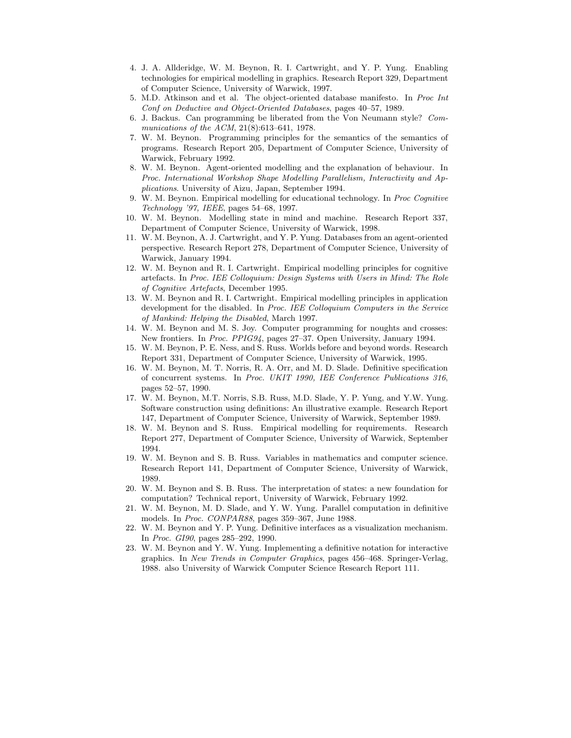- 4. J. A. Allderidge, W. M. Beynon, R. I. Cartwright, and Y. P. Yung. Enabling technologies for empirical modelling in graphics. Research Report 329, Department of Computer Science, University of Warwick, 1997.
- 5. M.D. Atkinson and et al. The object-oriented database manifesto. In Proc Int Conf on Deductive and Object-Oriented Databases, pages 40–57, 1989.
- 6. J. Backus. Can programming be liberated from the Von Neumann style? Communications of the ACM, 21(8):613–641, 1978.
- 7. W. M. Beynon. Programming principles for the semantics of the semantics of programs. Research Report 205, Department of Computer Science, University of Warwick, February 1992.
- 8. W. M. Beynon. Agent-oriented modelling and the explanation of behaviour. In Proc. International Workshop Shape Modelling Parallelism, Interactivity and Applications. University of Aizu, Japan, September 1994.
- 9. W. M. Beynon. Empirical modelling for educational technology. In Proc Cognitive Technology '97, IEEE, pages 54–68, 1997.
- 10. W. M. Beynon. Modelling state in mind and machine. Research Report 337, Department of Computer Science, University of Warwick, 1998.
- 11. W. M. Beynon, A. J. Cartwright, and Y. P. Yung. Databases from an agent-oriented perspective. Research Report 278, Department of Computer Science, University of Warwick, January 1994.
- 12. W. M. Beynon and R. I. Cartwright. Empirical modelling principles for cognitive artefacts. In Proc. IEE Colloquium: Design Systems with Users in Mind: The Role of Cognitive Artefacts, December 1995.
- 13. W. M. Beynon and R. I. Cartwright. Empirical modelling principles in application development for the disabled. In Proc. IEE Colloquium Computers in the Service of Mankind: Helping the Disabled, March 1997.
- 14. W. M. Beynon and M. S. Joy. Computer programming for noughts and crosses: New frontiers. In Proc. PPIG94, pages 27–37. Open University, January 1994.
- 15. W. M. Beynon, P. E. Ness, and S. Russ. Worlds before and beyond words. Research Report 331, Department of Computer Science, University of Warwick, 1995.
- 16. W. M. Beynon, M. T. Norris, R. A. Orr, and M. D. Slade. Definitive specification of concurrent systems. In Proc. UKIT 1990, IEE Conference Publications 316, pages 52–57, 1990.
- 17. W. M. Beynon, M.T. Norris, S.B. Russ, M.D. Slade, Y. P. Yung, and Y.W. Yung. Software construction using definitions: An illustrative example. Research Report 147, Department of Computer Science, University of Warwick, September 1989.
- 18. W. M. Beynon and S. Russ. Empirical modelling for requirements. Research Report 277, Department of Computer Science, University of Warwick, September 1994.
- 19. W. M. Beynon and S. B. Russ. Variables in mathematics and computer science. Research Report 141, Department of Computer Science, University of Warwick, 1989.
- 20. W. M. Beynon and S. B. Russ. The interpretation of states: a new foundation for computation? Technical report, University of Warwick, February 1992.
- 21. W. M. Beynon, M. D. Slade, and Y. W. Yung. Parallel computation in definitive models. In Proc. CONPAR88, pages 359–367, June 1988.
- 22. W. M. Beynon and Y. P. Yung. Definitive interfaces as a visualization mechanism. In Proc. GI90, pages 285–292, 1990.
- 23. W. M. Beynon and Y. W. Yung. Implementing a definitive notation for interactive graphics. In New Trends in Computer Graphics, pages 456–468. Springer-Verlag, 1988. also University of Warwick Computer Science Research Report 111.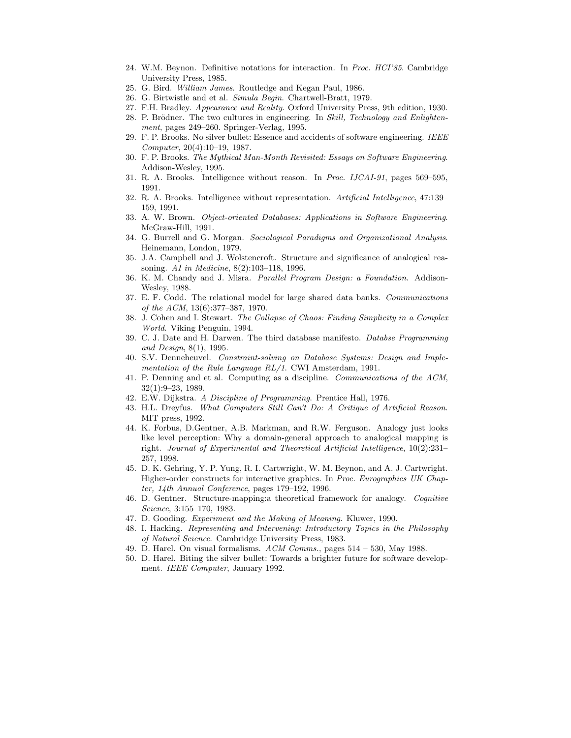- 24. W.M. Beynon. Definitive notations for interaction. In Proc. HCI'85. Cambridge University Press, 1985.
- 25. G. Bird. William James. Routledge and Kegan Paul, 1986.
- 26. G. Birtwistle and et al. Simula Begin. Chartwell-Bratt, 1979.
- 27. F.H. Bradley. Appearance and Reality. Oxford University Press, 9th edition, 1930.
- 28. P. Brödner. The two cultures in engineering. In Skill, Technology and Enlightenment, pages 249–260. Springer-Verlag, 1995.
- 29. F. P. Brooks. No silver bullet: Essence and accidents of software engineering. IEEE Computer, 20(4):10–19, 1987.
- 30. F. P. Brooks. The Mythical Man-Month Revisited: Essays on Software Engineering. Addison-Wesley, 1995.
- 31. R. A. Brooks. Intelligence without reason. In Proc. IJCAI-91, pages 569–595, 1991.
- 32. R. A. Brooks. Intelligence without representation. Artificial Intelligence, 47:139– 159, 1991.
- 33. A. W. Brown. Object-oriented Databases: Applications in Software Engineering. McGraw-Hill, 1991.
- 34. G. Burrell and G. Morgan. Sociological Paradigms and Organizational Analysis. Heinemann, London, 1979.
- 35. J.A. Campbell and J. Wolstencroft. Structure and significance of analogical reasoning. AI in Medicine, 8(2):103–118, 1996.
- 36. K. M. Chandy and J. Misra. Parallel Program Design: a Foundation. Addison-Wesley, 1988.
- 37. E. F. Codd. The relational model for large shared data banks. Communications of the ACM, 13(6):377–387, 1970.
- 38. J. Cohen and I. Stewart. The Collapse of Chaos: Finding Simplicity in a Complex World. Viking Penguin, 1994.
- 39. C. J. Date and H. Darwen. The third database manifesto. Databse Programming and Design, 8(1), 1995.
- 40. S.V. Denneheuvel. Constraint-solving on Database Systems: Design and Implementation of the Rule Language RL/1. CWI Amsterdam, 1991.
- 41. P. Denning and et al. Computing as a discipline. Communications of the ACM, 32(1):9–23, 1989.
- 42. E.W. Dijkstra. A Discipline of Programming. Prentice Hall, 1976.
- 43. H.L. Dreyfus. What Computers Still Can't Do: A Critique of Artificial Reason. MIT press, 1992.
- 44. K. Forbus, D.Gentner, A.B. Markman, and R.W. Ferguson. Analogy just looks like level perception: Why a domain-general approach to analogical mapping is right. Journal of Experimental and Theoretical Artificial Intelligence, 10(2):231– 257, 1998.
- 45. D. K. Gehring, Y. P. Yung, R. I. Cartwright, W. M. Beynon, and A. J. Cartwright. Higher-order constructs for interactive graphics. In Proc. Eurographics UK Chapter, 14th Annual Conference, pages 179–192, 1996.
- 46. D. Gentner. Structure-mapping:a theoretical framework for analogy. Cognitive Science, 3:155–170, 1983.
- 47. D. Gooding. Experiment and the Making of Meaning. Kluwer, 1990.
- 48. I. Hacking. Representing and Intervening: Introductory Topics in the Philosophy of Natural Science. Cambridge University Press, 1983.
- 49. D. Harel. On visual formalisms.  $ACM \, \textit{Comms.}$ , pages  $514 530$ , May 1988.
- 50. D. Harel. Biting the silver bullet: Towards a brighter future for software development. IEEE Computer, January 1992.